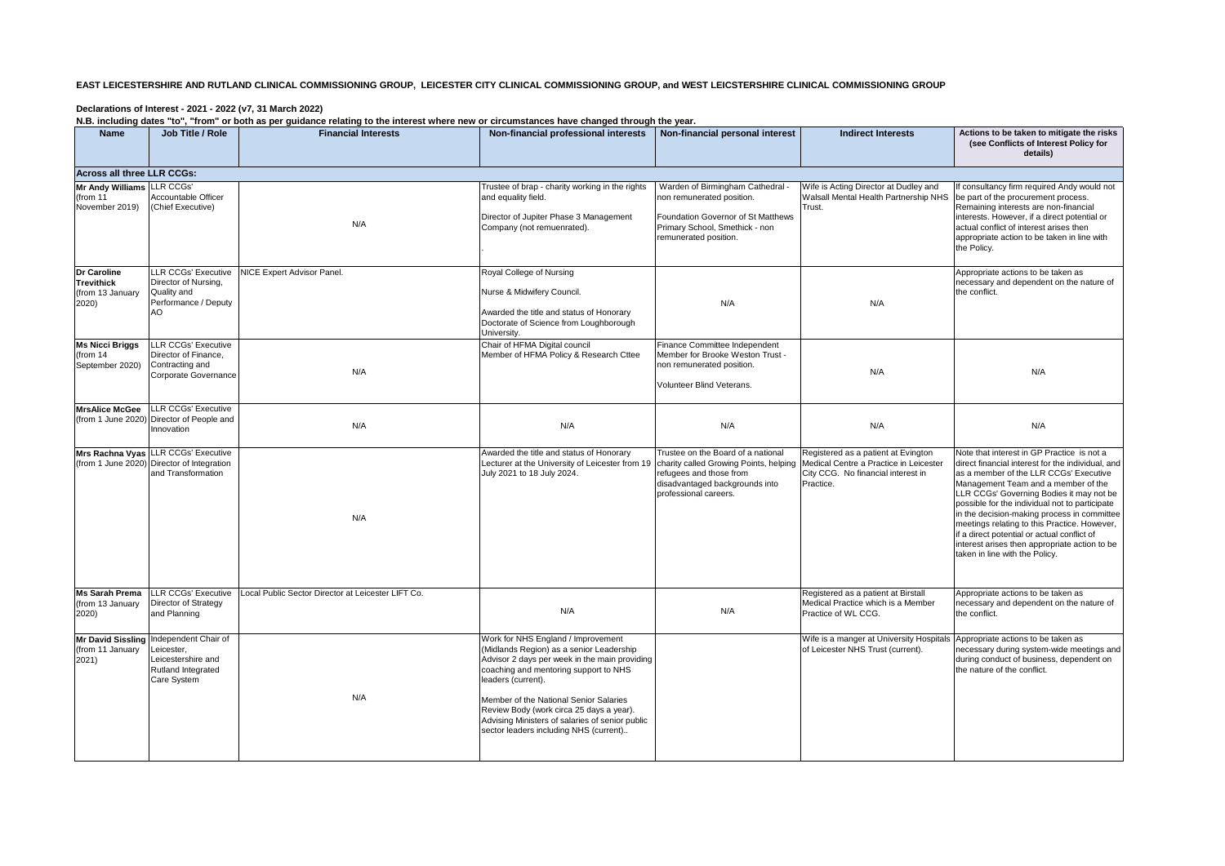## **EAST LEICESTERSHIRE AND RUTLAND CLINICAL COMMISSIONING GROUP, LEICESTER CITY CLINICAL COMMISSIONING GROUP, and WEST LEICSTERSHIRE CLINICAL COMMISSIONING GROUP**

## **Declarations of Interest - 2021 - 2022 (v7, 31 March 2022)**

**N.B. including dates "to", "from" or both as per guidance relating to the interest where new or circumstances have changed through the year.**

| <b>Name</b>                                                   | Job Title / Role                                                                                                | non mondang adibo to , nom to bourdo por galadhoo rolding to the microclement of on cambiance mare endinged unough the year.<br><b>Financial Interests</b> | Non-financial professional interests   Non-financial personal interest                                                                                                                                                                                                                                                                                                            |                                                                                                                                                                    | <b>Indirect Interests</b>                                                                                                        | Actions to be taken to mitigate the risks<br>(see Conflicts of Interest Policy for<br>details)                                                                                                                                                                                                                                                                                                                                                                                                                  |
|---------------------------------------------------------------|-----------------------------------------------------------------------------------------------------------------|------------------------------------------------------------------------------------------------------------------------------------------------------------|-----------------------------------------------------------------------------------------------------------------------------------------------------------------------------------------------------------------------------------------------------------------------------------------------------------------------------------------------------------------------------------|--------------------------------------------------------------------------------------------------------------------------------------------------------------------|----------------------------------------------------------------------------------------------------------------------------------|-----------------------------------------------------------------------------------------------------------------------------------------------------------------------------------------------------------------------------------------------------------------------------------------------------------------------------------------------------------------------------------------------------------------------------------------------------------------------------------------------------------------|
| Across all three LLR CCGs:                                    |                                                                                                                 |                                                                                                                                                            |                                                                                                                                                                                                                                                                                                                                                                                   |                                                                                                                                                                    |                                                                                                                                  |                                                                                                                                                                                                                                                                                                                                                                                                                                                                                                                 |
| Mr Andy Williams LLR CCGs'<br>(from 11<br>November 2019)      | Accountable Officer<br>(Chief Executive)                                                                        | N/A                                                                                                                                                        | Trustee of brap - charity working in the rights<br>and equality field.<br>Director of Jupiter Phase 3 Management<br>Company (not remuenrated).                                                                                                                                                                                                                                    | Warden of Birmingham Cathedral -<br>non remunerated position.<br>Foundation Governor of St Matthews<br>Primary School, Smethick - non<br>remunerated position.     | Wife is Acting Director at Dudley and<br>Walsall Mental Health Partnership NHS<br>Trust.                                         | If consultancy firm required Andy would not<br>be part of the procurement process.<br>Remaining interests are non-financial<br>interests. However, if a direct potential or<br>actual conflict of interest arises then<br>appropriate action to be taken in line with<br>the Policy.                                                                                                                                                                                                                            |
| Dr Caroline<br><b>Trevithick</b><br>(from 13 January<br>2020) | LLR CCGs' Executive<br>Director of Nursing,<br>Quality and<br>Performance / Deputy<br>AO                        | NICE Expert Advisor Panel.                                                                                                                                 | Royal College of Nursing<br>Nurse & Midwifery Council.<br>Awarded the title and status of Honorary<br>Doctorate of Science from Loughborough<br>University.                                                                                                                                                                                                                       | N/A                                                                                                                                                                | N/A                                                                                                                              | Appropriate actions to be taken as<br>necessary and dependent on the nature of<br>the conflict.                                                                                                                                                                                                                                                                                                                                                                                                                 |
| <b>Ms Nicci Briggs</b><br>(from 14<br>September 2020)         | <b>LLR CCGs' Executive</b><br>Director of Finance,<br>Contracting and<br>Corporate Governance                   | N/A                                                                                                                                                        | Chair of HFMA Digital council<br>Member of HFMA Policy & Research Cttee                                                                                                                                                                                                                                                                                                           | Finance Committee Independent<br>Member for Brooke Weston Trust -<br>non remunerated position.<br>Volunteer Blind Veterans.                                        | N/A                                                                                                                              | N/A                                                                                                                                                                                                                                                                                                                                                                                                                                                                                                             |
| <b>MrsAlice McGee</b><br>(from 1 June 2020)                   | <b>LLR CCGs' Executive</b><br>Director of People and<br>Innovation                                              | N/A                                                                                                                                                        | N/A                                                                                                                                                                                                                                                                                                                                                                               | N/A                                                                                                                                                                | N/A                                                                                                                              | N/A                                                                                                                                                                                                                                                                                                                                                                                                                                                                                                             |
|                                                               | Mrs Rachna Vyas LLR CCGs' Executive<br>(from 1 June 2020) Director of Integration<br>and Transformation         | N/A                                                                                                                                                        | Awarded the title and status of Honorary<br>Lecturer at the University of Leicester from 19<br>July 2021 to 18 July 2024.                                                                                                                                                                                                                                                         | Trustee on the Board of a national<br>charity called Growing Points, helping<br>refugees and those from<br>disadvantaged backgrounds into<br>professional careers. | Registered as a patient at Evington<br>Medical Centre a Practice in Leicester<br>City CCG. No financial interest in<br>Practice. | Note that interest in GP Practice is not a<br>direct financial interest for the individual, and<br>as a member of the LLR CCGs' Executive<br>Management Team and a member of the<br>LLR CCGs' Governing Bodies it may not be<br>possible for the individual not to participate<br>in the decision-making process in committee<br>meetings relating to this Practice. However,<br>if a direct potential or actual conflict of<br>interest arises then appropriate action to be<br>taken in line with the Policy. |
| <b>Ms Sarah Prema</b><br>(from 13 January<br>2020)            | <b>LLR CCGs' Executive</b><br>Director of Strategy<br>and Planning                                              | Local Public Sector Director at Leicester LIFT Co.                                                                                                         | N/A                                                                                                                                                                                                                                                                                                                                                                               | N/A                                                                                                                                                                | Registered as a patient at Birstall<br>Medical Practice which is a Member<br>Practice of WL CCG.                                 | Appropriate actions to be taken as<br>necessary and dependent on the nature of<br>the conflict.                                                                                                                                                                                                                                                                                                                                                                                                                 |
| (from 11 January<br>2021)                                     | Mr David Sissling Independent Chair of<br>Leicester,<br>Leicestershire and<br>Rutland Integrated<br>Care System | N/A                                                                                                                                                        | Work for NHS England / Improvement<br>(Midlands Region) as a senior Leadership<br>Advisor 2 days per week in the main providing<br>coaching and mentoring support to NHS<br>leaders (current).<br>Member of the National Senior Salaries<br>Review Body (work circa 25 days a year).<br>Advising Ministers of salaries of senior public<br>sector leaders including NHS (current) |                                                                                                                                                                    | Wife is a manger at University Hospitals<br>of Leicester NHS Trust (current).                                                    | Appropriate actions to be taken as<br>necessary during system-wide meetings and<br>during conduct of business, dependent on<br>the nature of the conflict.                                                                                                                                                                                                                                                                                                                                                      |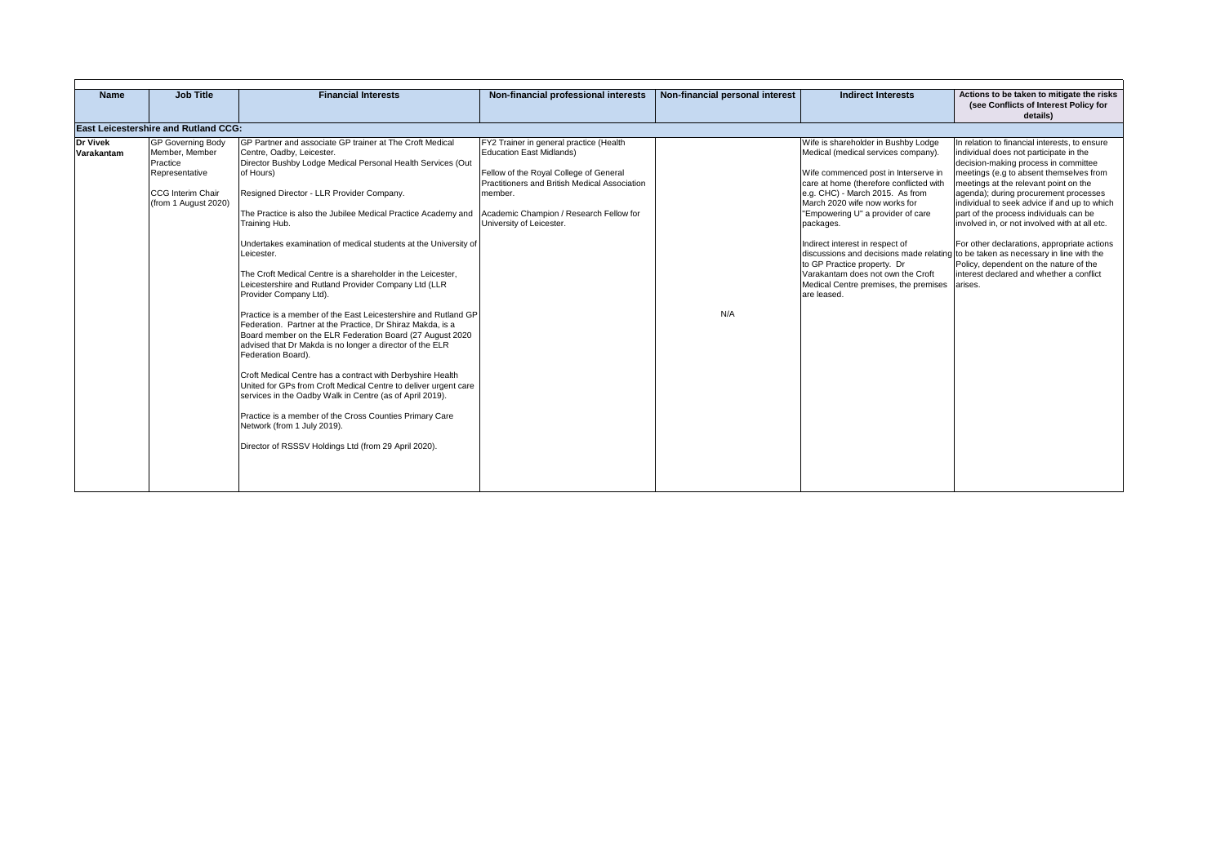| <b>Name</b>                   | <b>Job Title</b>                                                                                                      | <b>Financial Interests</b>                                                                                                                                                                                                                                                                                                                                                                                                                                                                                                                                                                                                                                                                                                                                                                                                                                                                                                                                                                                                                                                                                                                                      | Non-financial professional interests                                                                                                                                                                                                                    | Non-financial personal interest | <b>Indirect Interests</b>                                                                                                                                                                                                                                                                                                                                                                                                                                                                     | Actions to be taken to mitigate the risks<br>(see Conflicts of Interest Policy for<br>details)                                                                                                                                                                                                                                                                                                                                                                                                                                                                                                       |
|-------------------------------|-----------------------------------------------------------------------------------------------------------------------|-----------------------------------------------------------------------------------------------------------------------------------------------------------------------------------------------------------------------------------------------------------------------------------------------------------------------------------------------------------------------------------------------------------------------------------------------------------------------------------------------------------------------------------------------------------------------------------------------------------------------------------------------------------------------------------------------------------------------------------------------------------------------------------------------------------------------------------------------------------------------------------------------------------------------------------------------------------------------------------------------------------------------------------------------------------------------------------------------------------------------------------------------------------------|---------------------------------------------------------------------------------------------------------------------------------------------------------------------------------------------------------------------------------------------------------|---------------------------------|-----------------------------------------------------------------------------------------------------------------------------------------------------------------------------------------------------------------------------------------------------------------------------------------------------------------------------------------------------------------------------------------------------------------------------------------------------------------------------------------------|------------------------------------------------------------------------------------------------------------------------------------------------------------------------------------------------------------------------------------------------------------------------------------------------------------------------------------------------------------------------------------------------------------------------------------------------------------------------------------------------------------------------------------------------------------------------------------------------------|
|                               | East Leicestershire and Rutland CCG:                                                                                  |                                                                                                                                                                                                                                                                                                                                                                                                                                                                                                                                                                                                                                                                                                                                                                                                                                                                                                                                                                                                                                                                                                                                                                 |                                                                                                                                                                                                                                                         |                                 |                                                                                                                                                                                                                                                                                                                                                                                                                                                                                               |                                                                                                                                                                                                                                                                                                                                                                                                                                                                                                                                                                                                      |
| <b>Dr Vivek</b><br>Varakantam | <b>GP Governing Body</b><br>Member, Member<br>Practice<br>Representative<br>CCG Interim Chair<br>(from 1 August 2020) | GP Partner and associate GP trainer at The Croft Medical<br>Centre, Oadby, Leicester.<br>Director Bushby Lodge Medical Personal Health Services (Out<br>of Hours)<br>Resigned Director - LLR Provider Company.<br>The Practice is also the Jubilee Medical Practice Academy and<br>Training Hub.<br>Undertakes examination of medical students at the University of<br>Leicester.<br>The Croft Medical Centre is a shareholder in the Leicester,<br>Leicestershire and Rutland Provider Company Ltd (LLR<br>Provider Company Ltd).<br>Practice is a member of the East Leicestershire and Rutland GP<br>Federation. Partner at the Practice, Dr Shiraz Makda, is a<br>Board member on the ELR Federation Board (27 August 2020<br>advised that Dr Makda is no longer a director of the ELR<br>Federation Board).<br>Croft Medical Centre has a contract with Derbyshire Health<br>United for GPs from Croft Medical Centre to deliver urgent care<br>services in the Oadby Walk in Centre (as of April 2019).<br>Practice is a member of the Cross Counties Primary Care<br>Network (from 1 July 2019).<br>Director of RSSSV Holdings Ltd (from 29 April 2020). | FY2 Trainer in general practice (Health<br><b>Education East Midlands)</b><br>Fellow of the Royal College of General<br>Practitioners and British Medical Association<br>member.<br>Academic Champion / Research Fellow for<br>University of Leicester. | N/A                             | Wife is shareholder in Bushby Lodge<br>Medical (medical services company).<br>Wife commenced post in Interserve in<br>care at home (therefore conflicted with<br>e.g. CHC) - March 2015. As from<br>March 2020 wife now works for<br>"Empowering U" a provider of care<br>packages.<br>Indirect interest in respect of<br>discussions and decisions made relating<br>to GP Practice property. Dr<br>Varakantam does not own the Croft<br>Medical Centre premises, the premises<br>are leased. | In relation to financial interests, to ensure<br>individual does not participate in the<br>decision-making process in committee<br>meetings (e.g to absent themselves from<br>meetings at the relevant point on the<br>agenda); during procurement processes<br>individual to seek advice if and up to which<br>part of the process individuals can be<br>involved in, or not involved with at all etc.<br>For other declarations, appropriate actions<br>to be taken as necessary in line with the<br>Policy, dependent on the nature of the<br>interest declared and whether a conflict<br>arises. |
|                               |                                                                                                                       |                                                                                                                                                                                                                                                                                                                                                                                                                                                                                                                                                                                                                                                                                                                                                                                                                                                                                                                                                                                                                                                                                                                                                                 |                                                                                                                                                                                                                                                         |                                 |                                                                                                                                                                                                                                                                                                                                                                                                                                                                                               |                                                                                                                                                                                                                                                                                                                                                                                                                                                                                                                                                                                                      |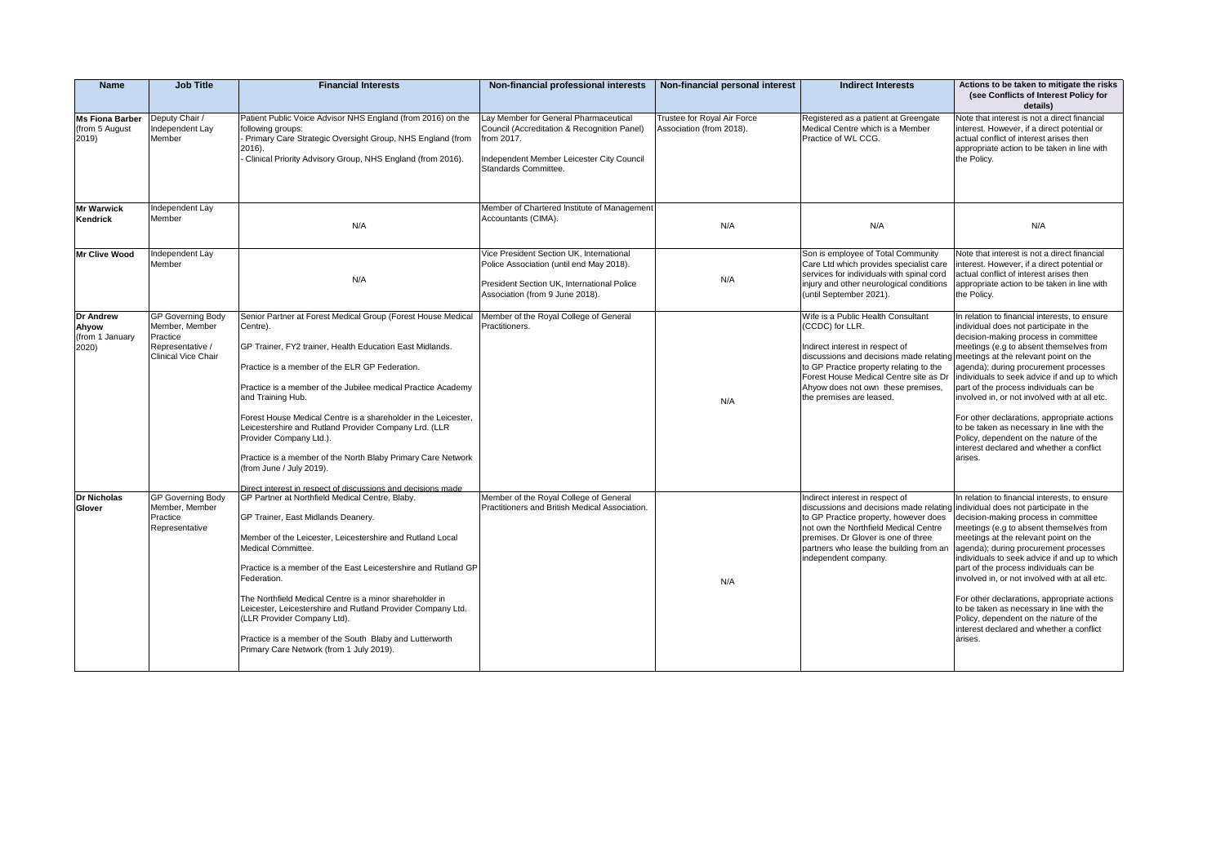| <b>Name</b>                                           | <b>Job Title</b>                                                                                  | <b>Financial Interests</b>                                                                                                                                                                                                                                                                                                                                                                                                                                                                                                                                                                    | Non-financial professional interests                                                                                                                                    | Non-financial personal interest                         | <b>Indirect Interests</b>                                                                                                                                                                                                                                                                                                        | Actions to be taken to mitigate the risks<br>(see Conflicts of Interest Policy for<br>details)                                                                                                                                                                                                                                                                                                                                                                                                                                                               |
|-------------------------------------------------------|---------------------------------------------------------------------------------------------------|-----------------------------------------------------------------------------------------------------------------------------------------------------------------------------------------------------------------------------------------------------------------------------------------------------------------------------------------------------------------------------------------------------------------------------------------------------------------------------------------------------------------------------------------------------------------------------------------------|-------------------------------------------------------------------------------------------------------------------------------------------------------------------------|---------------------------------------------------------|----------------------------------------------------------------------------------------------------------------------------------------------------------------------------------------------------------------------------------------------------------------------------------------------------------------------------------|--------------------------------------------------------------------------------------------------------------------------------------------------------------------------------------------------------------------------------------------------------------------------------------------------------------------------------------------------------------------------------------------------------------------------------------------------------------------------------------------------------------------------------------------------------------|
| <b>Ms Fiona Barber</b><br>(from 5 August<br>2019)     | Deputy Chair /<br>Independent Lay<br>Member                                                       | Patient Public Voice Advisor NHS England (from 2016) on the<br>following groups:<br>Primary Care Strategic Oversight Group, NHS England (from<br>2016).<br>Clinical Priority Advisory Group, NHS England (from 2016).                                                                                                                                                                                                                                                                                                                                                                         | Lay Member for General Pharmaceutical<br>Council (Accreditation & Recognition Panel)<br>from 2017.<br>Independent Member Leicester City Council<br>Standards Committee. | Trustee for Royal Air Force<br>Association (from 2018). | Registered as a patient at Greengate<br>Medical Centre which is a Member<br>Practice of WL CCG.                                                                                                                                                                                                                                  | Note that interest is not a direct financial<br>interest. However, if a direct potential or<br>actual conflict of interest arises then<br>appropriate action to be taken in line with<br>the Policy.                                                                                                                                                                                                                                                                                                                                                         |
| <b>Mr Warwick</b><br>Kendrick                         | Independent Lay<br>Member                                                                         | N/A                                                                                                                                                                                                                                                                                                                                                                                                                                                                                                                                                                                           | Member of Chartered Institute of Management<br>Accountants (CIMA).                                                                                                      | N/A                                                     | N/A                                                                                                                                                                                                                                                                                                                              | N/A                                                                                                                                                                                                                                                                                                                                                                                                                                                                                                                                                          |
| Mr Clive Wood                                         | Independent Lay<br>Member                                                                         | N/A                                                                                                                                                                                                                                                                                                                                                                                                                                                                                                                                                                                           | Vice President Section UK, International<br>Police Association (until end May 2018).<br>President Section UK, International Police<br>Association (from 9 June 2018).   | N/A                                                     | Son is employee of Total Community<br>Care Ltd which provides specialist care<br>services for individuals with spinal cord<br>injury and other neurological conditions<br>(until September 2021).                                                                                                                                | Note that interest is not a direct financial<br>interest. However, if a direct potential or<br>actual conflict of interest arises then<br>appropriate action to be taken in line with<br>the Policy.                                                                                                                                                                                                                                                                                                                                                         |
| <b>Dr Andrew</b><br>Ahyow<br>(from 1 January<br>2020) | <b>GP Governing Body</b><br>Member, Member<br>Practice<br>Representative /<br>Clinical Vice Chair | Senior Partner at Forest Medical Group (Forest House Medical<br>Centre).<br>GP Trainer, FY2 trainer, Health Education East Midlands.<br>Practice is a member of the ELR GP Federation.<br>Practice is a member of the Jubilee medical Practice Academy<br>and Training Hub.<br>Forest House Medical Centre is a shareholder in the Leicester,<br>Leicestershire and Rutland Provider Company Lrd. (LLR<br>Provider Company Ltd.).<br>Practice is a member of the North Blaby Primary Care Network<br>(from June / July 2019).<br>Direct interest in respect of discussions and decisions made | Member of the Royal College of General<br>Practitioners.                                                                                                                | N/A                                                     | Wife is a Public Health Consultant<br>(CCDC) for LLR.<br>Indirect interest in respect of<br>discussions and decisions made relating meetings at the relevant point on the<br>to GP Practice property relating to the<br>Forest House Medical Centre site as Dr<br>Ahyow does not own these premises,<br>the premises are leased. | In relation to financial interests, to ensure<br>individual does not participate in the<br>decision-making process in committee<br>meetings (e.g to absent themselves from<br>agenda); during procurement processes<br>individuals to seek advice if and up to which<br>part of the process individuals can be<br>involved in, or not involved with at all etc.<br>For other declarations, appropriate actions<br>to be taken as necessary in line with the<br>Policy, dependent on the nature of the<br>interest declared and whether a conflict<br>arises. |
| <b>Dr Nicholas</b><br>Glover                          | <b>GP Governing Body</b><br>Member, Member<br>Practice<br>Representative                          | GP Partner at Northfield Medical Centre, Blaby.<br>GP Trainer, East Midlands Deanery.<br>Member of the Leicester, Leicestershire and Rutland Local<br>Medical Committee.<br>Practice is a member of the East Leicestershire and Rutland GP<br>Federation.<br>The Northfield Medical Centre is a minor shareholder in<br>Leicester, Leicestershire and Rutland Provider Company Ltd.<br>(LLR Provider Company Ltd).<br>Practice is a member of the South Blaby and Lutterworth<br>Primary Care Network (from 1 July 2019).                                                                     | Member of the Royal College of General<br>Practitioners and British Medical Association.                                                                                | N/A                                                     | Indirect interest in respect of<br>discussions and decisions made relating individual does not participate in the<br>to GP Practice property, however does<br>not own the Northfield Medical Centre<br>premises. Dr Glover is one of three<br>partners who lease the building from an<br>independent company.                    | In relation to financial interests, to ensure<br>decision-making process in committee<br>meetings (e.g to absent themselves from<br>meetings at the relevant point on the<br>agenda); during procurement processes<br>individuals to seek advice if and up to which<br>part of the process individuals can be<br>involved in, or not involved with at all etc.<br>For other declarations, appropriate actions<br>to be taken as necessary in line with the<br>Policy, dependent on the nature of the<br>interest declared and whether a conflict<br>arises.  |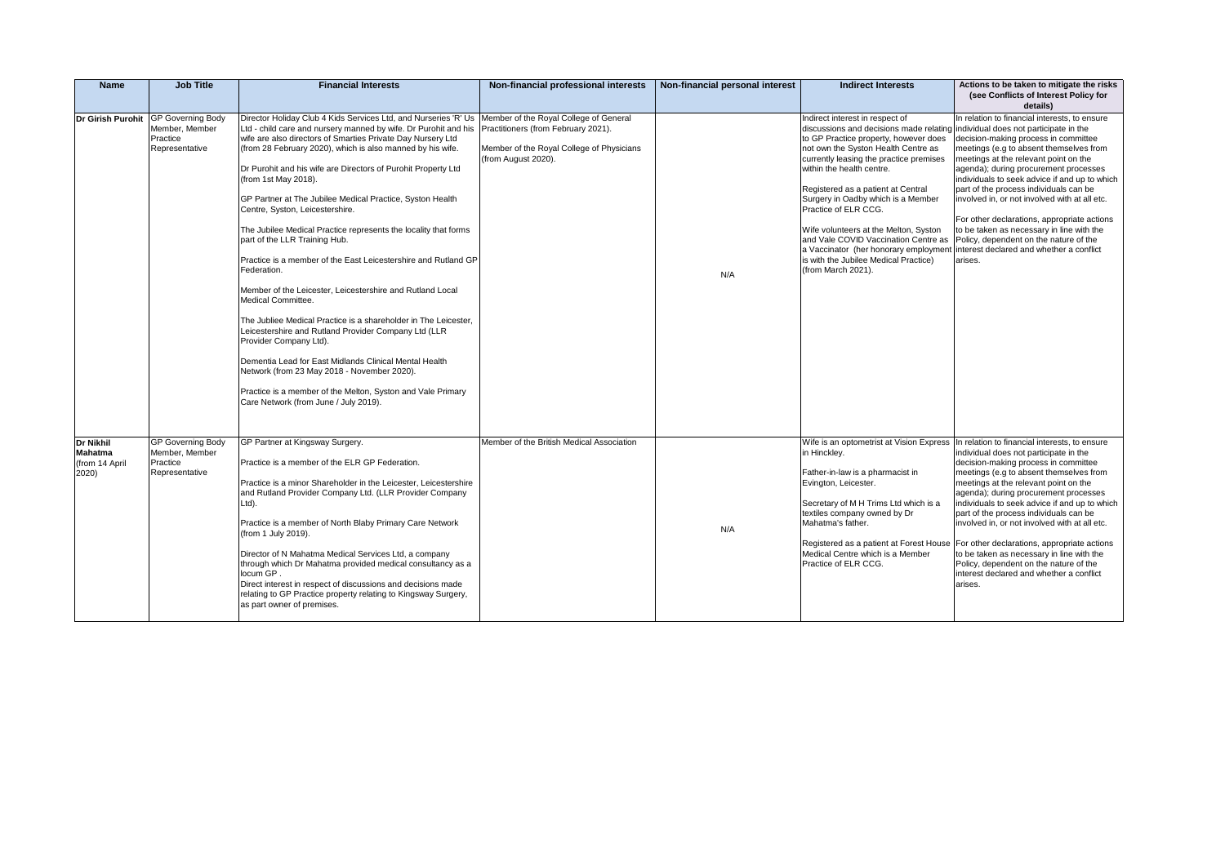| <b>Name</b>                                     | <b>Job Title</b>                                                                    | <b>Financial Interests</b>                                                                                                                                                                                                                                                                                                                                                                                                                                                                                                                                                                                                                                                                                                                                                                                                                                                                                                                                                                                                                                                                             | Non-financial professional interests                                                                                                              | Non-financial personal interest | <b>Indirect Interests</b>                                                                                                                                                                                                                                                                                                                                                                                                                                                                                                                                                                                       | Actions to be taken to mitigate the risks<br>(see Conflicts of Interest Policy for<br>details)                                                                                                                                                                                                                                                                                                                                                                                                                                                                                                                                                 |
|-------------------------------------------------|-------------------------------------------------------------------------------------|--------------------------------------------------------------------------------------------------------------------------------------------------------------------------------------------------------------------------------------------------------------------------------------------------------------------------------------------------------------------------------------------------------------------------------------------------------------------------------------------------------------------------------------------------------------------------------------------------------------------------------------------------------------------------------------------------------------------------------------------------------------------------------------------------------------------------------------------------------------------------------------------------------------------------------------------------------------------------------------------------------------------------------------------------------------------------------------------------------|---------------------------------------------------------------------------------------------------------------------------------------------------|---------------------------------|-----------------------------------------------------------------------------------------------------------------------------------------------------------------------------------------------------------------------------------------------------------------------------------------------------------------------------------------------------------------------------------------------------------------------------------------------------------------------------------------------------------------------------------------------------------------------------------------------------------------|------------------------------------------------------------------------------------------------------------------------------------------------------------------------------------------------------------------------------------------------------------------------------------------------------------------------------------------------------------------------------------------------------------------------------------------------------------------------------------------------------------------------------------------------------------------------------------------------------------------------------------------------|
|                                                 | Dr Girish Purohit GP Governing Body<br>Member, Member<br>Practice<br>Representative | Director Holiday Club 4 Kids Services Ltd, and Nurseries 'R' Us<br>Ltd - child care and nursery manned by wife. Dr Purohit and his<br>wife are also directors of Smarties Private Day Nursery Ltd<br>(from 28 February 2020), which is also manned by his wife.<br>Dr Purohit and his wife are Directors of Purohit Property Ltd<br>(from 1st May 2018).<br>GP Partner at The Jubilee Medical Practice, Syston Health<br>Centre, Syston, Leicestershire.<br>The Jubilee Medical Practice represents the locality that forms<br>part of the LLR Training Hub.<br>Practice is a member of the East Leicestershire and Rutland GP<br>Federation.<br>Member of the Leicester, Leicestershire and Rutland Local<br>Medical Committee.<br>The Jubliee Medical Practice is a shareholder in The Leicester,<br>Leicestershire and Rutland Provider Company Ltd (LLR<br>Provider Company Ltd).<br>Dementia Lead for East Midlands Clinical Mental Health<br>Network (from 23 May 2018 - November 2020).<br>Practice is a member of the Melton, Syston and Vale Primary<br>Care Network (from June / July 2019). | Member of the Royal College of General<br>Practitioners (from February 2021).<br>Member of the Royal College of Physicians<br>(from August 2020). | N/A                             | Indirect interest in respect of<br>discussions and decisions made relating individual does not participate in the<br>to GP Practice property, however does<br>not own the Syston Health Centre as<br>currently leasing the practice premises<br>within the health centre.<br>Registered as a patient at Central<br>Surgery in Oadby which is a Member<br>Practice of ELR CCG.<br>Wife volunteers at the Melton, Syston<br>and Vale COVID Vaccination Centre as<br>a Vaccinator (her honorary employment interest declared and whether a conflict<br>is with the Jubilee Medical Practice)<br>(from March 2021). | In relation to financial interests, to ensure<br>decision-making process in committee<br>meetings (e.g to absent themselves from<br>meetings at the relevant point on the<br>agenda); during procurement processes<br>individuals to seek advice if and up to which<br>part of the process individuals can be<br>involved in, or not involved with at all etc.<br>For other declarations, appropriate actions<br>to be taken as necessary in line with the<br>Policy, dependent on the nature of the<br>arises.                                                                                                                                |
| Dr Nikhil<br>Mahatma<br>(from 14 April<br>2020) | <b>GP Governing Body</b><br>Member, Member<br>Practice<br>Representative            | GP Partner at Kingsway Surgery.<br>Practice is a member of the ELR GP Federation.<br>Practice is a minor Shareholder in the Leicester, Leicestershire<br>and Rutland Provider Company Ltd. (LLR Provider Company<br>Ltd).<br>Practice is a member of North Blaby Primary Care Network<br>(from 1 July 2019).<br>Director of N Mahatma Medical Services Ltd, a company<br>through which Dr Mahatma provided medical consultancy as a<br>locum GP.<br>Direct interest in respect of discussions and decisions made<br>relating to GP Practice property relating to Kingsway Surgery,<br>as part owner of premises.                                                                                                                                                                                                                                                                                                                                                                                                                                                                                       | Member of the British Medical Association                                                                                                         | N/A                             | in Hinckley.<br>Father-in-law is a pharmacist in<br>Evington, Leicester.<br>Secretary of M H Trims Ltd which is a<br>textiles company owned by Dr<br>Mahatma's father.<br>Registered as a patient at Forest House<br>Medical Centre which is a Member<br>Practice of ELR CCG.                                                                                                                                                                                                                                                                                                                                   | Wife is an optometrist at Vision Express In relation to financial interests, to ensure<br>individual does not participate in the<br>decision-making process in committee<br>meetings (e.g to absent themselves from<br>meetings at the relevant point on the<br>agenda); during procurement processes<br>individuals to seek advice if and up to which<br>part of the process individuals can be<br>involved in, or not involved with at all etc.<br>For other declarations, appropriate actions<br>to be taken as necessary in line with the<br>Policy, dependent on the nature of the<br>interest declared and whether a conflict<br>arises. |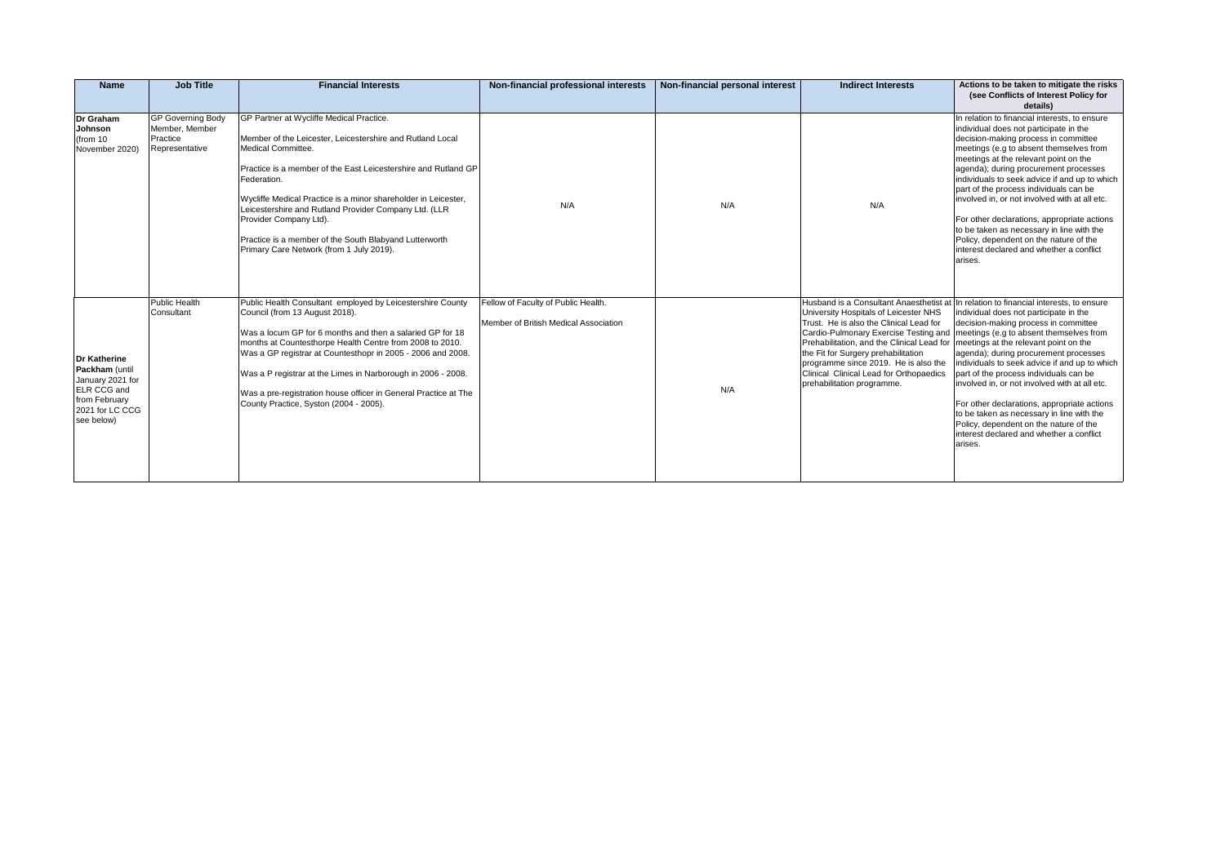| <b>Name</b>                                                                                                                | <b>Job Title</b>                                                         | <b>Financial Interests</b>                                                                                                                                                                                                                                                                                                                                                                                                                                              | Non-financial professional interests                                         | Non-financial personal interest | <b>Indirect Interests</b>                                                                                                                                                                                                                                                                                                                                               | Actions to be taken to mitigate the risks<br>(see Conflicts of Interest Policy for<br>details)                                                                                                                                                                                                                                                                                                                                                                                                                                                                                                        |
|----------------------------------------------------------------------------------------------------------------------------|--------------------------------------------------------------------------|-------------------------------------------------------------------------------------------------------------------------------------------------------------------------------------------------------------------------------------------------------------------------------------------------------------------------------------------------------------------------------------------------------------------------------------------------------------------------|------------------------------------------------------------------------------|---------------------------------|-------------------------------------------------------------------------------------------------------------------------------------------------------------------------------------------------------------------------------------------------------------------------------------------------------------------------------------------------------------------------|-------------------------------------------------------------------------------------------------------------------------------------------------------------------------------------------------------------------------------------------------------------------------------------------------------------------------------------------------------------------------------------------------------------------------------------------------------------------------------------------------------------------------------------------------------------------------------------------------------|
| Dr Graham<br>Johnson<br>(from 10<br>November 2020)                                                                         | <b>GP Governing Body</b><br>Member, Member<br>Practice<br>Representative | GP Partner at Wycliffe Medical Practice.<br>Member of the Leicester. Leicestershire and Rutland Local<br>Medical Committee.<br>Practice is a member of the East Leicestershire and Rutland GP<br>Federation.<br>Wycliffe Medical Practice is a minor shareholder in Leicester,<br>Leicestershire and Rutland Provider Company Ltd. (LLR<br>Provider Company Ltd).<br>Practice is a member of the South Blabyand Lutterworth<br>Primary Care Network (from 1 July 2019). | N/A                                                                          | N/A                             | N/A                                                                                                                                                                                                                                                                                                                                                                     | In relation to financial interests, to ensure<br>individual does not participate in the<br>decision-making process in committee<br>meetings (e.g to absent themselves from<br>meetings at the relevant point on the<br>agenda); during procurement processes<br>individuals to seek advice if and up to which<br>part of the process individuals can be<br>involved in, or not involved with at all etc.<br>For other declarations, appropriate actions<br>to be taken as necessary in line with the<br>Policy, dependent on the nature of the<br>interest declared and whether a conflict<br>arises. |
| <b>Dr Katherine</b><br>Packham (until<br>January 2021 for<br>ELR CCG and<br>from February<br>2021 for LC CCG<br>see below) | Public Health<br>Consultant                                              | Public Health Consultant employed by Leicestershire County<br>Council (from 13 August 2018).<br>Was a locum GP for 6 months and then a salaried GP for 18<br>months at Countesthorpe Health Centre from 2008 to 2010.<br>Was a GP registrar at Countesthopr in 2005 - 2006 and 2008.<br>Was a P registrar at the Limes in Narborough in 2006 - 2008.<br>Was a pre-registration house officer in General Practice at The<br>County Practice, Syston (2004 - 2005).       | Fellow of Faculty of Public Health.<br>Member of British Medical Association | N/A                             | University Hospitals of Leicester NHS<br>Trust. He is also the Clinical Lead for<br>Cardio-Pulmonary Exercise Testing and<br>Prehabilitation, and the Clinical Lead for   meetings at the relevant point on the<br>the Fit for Surgery prehabilitation<br>programme since 2019. He is also the<br>Clinical Clinical Lead for Orthopaedics<br>prehabilitation programme. | Husband is a Consultant Anaesthetist at In relation to financial interests, to ensure<br>individual does not participate in the<br>decision-making process in committee<br>meetings (e.g to absent themselves from<br>agenda); during procurement processes<br>individuals to seek advice if and up to which<br>part of the process individuals can be<br>involved in, or not involved with at all etc.<br>For other declarations, appropriate actions<br>to be taken as necessary in line with the<br>Policy, dependent on the nature of the<br>interest declared and whether a conflict<br>arises.  |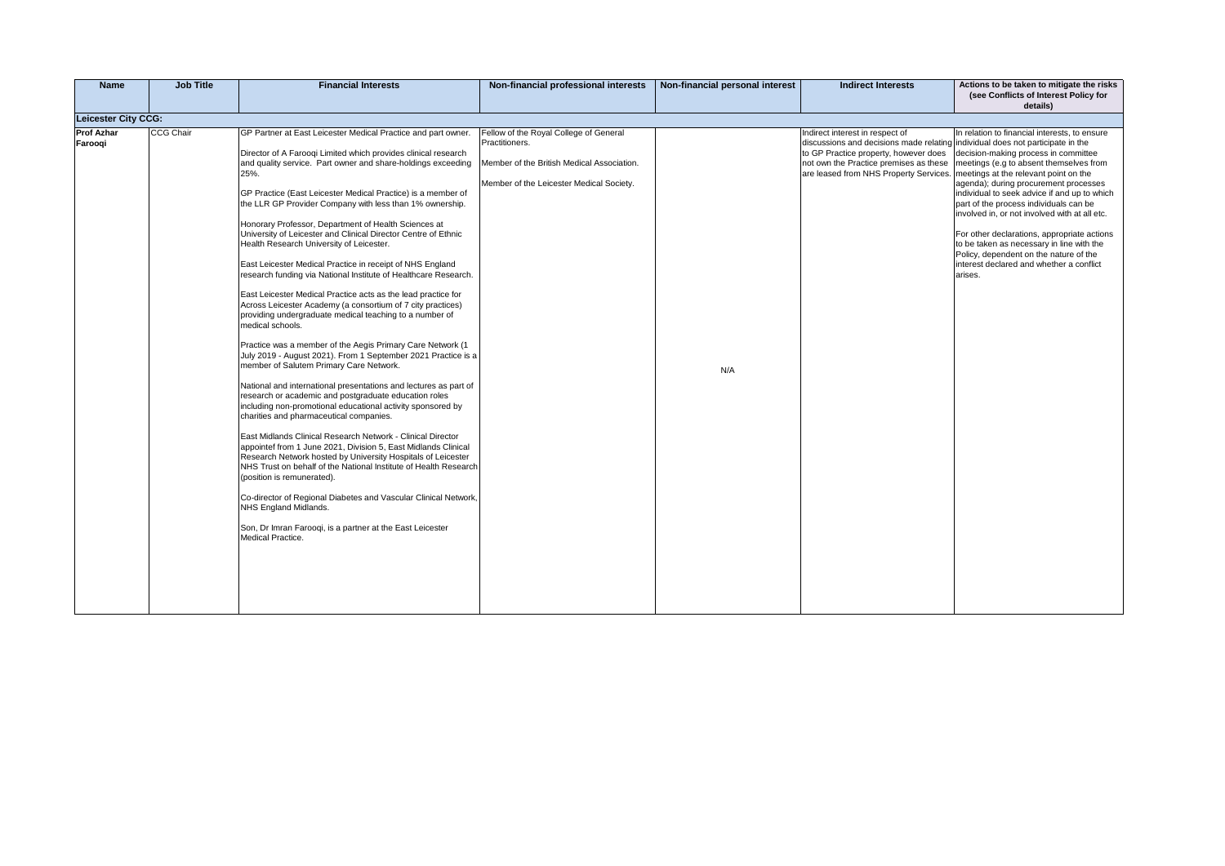| <b>Name</b>                | <b>Job Title</b> | <b>Financial Interests</b>                                                                                                                                                                                                                                                                                                                                                                                                                                                                                                                                                                                                                                                                                                                                                                                                                                                                                                                                                                                                                                                                                                                                                                                                                                                                                                                                                                                                                                                                                                                                                                                                                                                                                                                                 | Non-financial professional interests                                                                                                               | Non-financial personal interest | <b>Indirect Interests</b>                                                                                                                                                                                                                                                              | Actions to be taken to mitigate the risks<br>(see Conflicts of Interest Policy for<br>details)                                                                                                                                                                                                                                                                                                                                                                                                                    |
|----------------------------|------------------|------------------------------------------------------------------------------------------------------------------------------------------------------------------------------------------------------------------------------------------------------------------------------------------------------------------------------------------------------------------------------------------------------------------------------------------------------------------------------------------------------------------------------------------------------------------------------------------------------------------------------------------------------------------------------------------------------------------------------------------------------------------------------------------------------------------------------------------------------------------------------------------------------------------------------------------------------------------------------------------------------------------------------------------------------------------------------------------------------------------------------------------------------------------------------------------------------------------------------------------------------------------------------------------------------------------------------------------------------------------------------------------------------------------------------------------------------------------------------------------------------------------------------------------------------------------------------------------------------------------------------------------------------------------------------------------------------------------------------------------------------------|----------------------------------------------------------------------------------------------------------------------------------------------------|---------------------------------|----------------------------------------------------------------------------------------------------------------------------------------------------------------------------------------------------------------------------------------------------------------------------------------|-------------------------------------------------------------------------------------------------------------------------------------------------------------------------------------------------------------------------------------------------------------------------------------------------------------------------------------------------------------------------------------------------------------------------------------------------------------------------------------------------------------------|
| <b>Leicester City CCG:</b> |                  |                                                                                                                                                                                                                                                                                                                                                                                                                                                                                                                                                                                                                                                                                                                                                                                                                                                                                                                                                                                                                                                                                                                                                                                                                                                                                                                                                                                                                                                                                                                                                                                                                                                                                                                                                            |                                                                                                                                                    |                                 |                                                                                                                                                                                                                                                                                        |                                                                                                                                                                                                                                                                                                                                                                                                                                                                                                                   |
| Prof Azhar<br>Farooqi      | <b>CCG Chair</b> | GP Partner at East Leicester Medical Practice and part owner.<br>Director of A Farooqi Limited which provides clinical research<br>and quality service. Part owner and share-holdings exceeding<br>25%.<br>GP Practice (East Leicester Medical Practice) is a member of<br>the LLR GP Provider Company with less than 1% ownership.<br>Honorary Professor, Department of Health Sciences at<br>University of Leicester and Clinical Director Centre of Ethnic<br>Health Research University of Leicester.<br>East Leicester Medical Practice in receipt of NHS England<br>research funding via National Institute of Healthcare Research.<br>East Leicester Medical Practice acts as the lead practice for<br>Across Leicester Academy (a consortium of 7 city practices)<br>providing undergraduate medical teaching to a number of<br>medical schools.<br>Practice was a member of the Aegis Primary Care Network (1<br>July 2019 - August 2021). From 1 September 2021 Practice is a<br>member of Salutem Primary Care Network.<br>National and international presentations and lectures as part of<br>research or academic and postgraduate education roles<br>including non-promotional educational activity sponsored by<br>charities and pharmaceutical companies.<br>East Midlands Clinical Research Network - Clinical Director<br>appointef from 1 June 2021, Division 5, East Midlands Clinical<br>Research Network hosted by University Hospitals of Leicester<br>NHS Trust on behalf of the National Institute of Health Research<br>(position is remunerated).<br>Co-director of Regional Diabetes and Vascular Clinical Network,<br>NHS England Midlands.<br>Son, Dr Imran Farooqi, is a partner at the East Leicester<br>Medical Practice. | Fellow of the Royal College of General<br>Practitioners.<br>Member of the British Medical Association.<br>Member of the Leicester Medical Society. | N/A                             | Indirect interest in respect of<br>discussions and decisions made relating individual does not participate in the<br>to GP Practice property, however does<br>not own the Practice premises as these<br>are leased from NHS Property Services.   meetings at the relevant point on the | In relation to financial interests, to ensure<br>decision-making process in committee<br>meetings (e.g to absent themselves from<br>agenda); during procurement processes<br>individual to seek advice if and up to which<br>part of the process individuals can be<br>involved in, or not involved with at all etc.<br>For other declarations, appropriate actions<br>to be taken as necessary in line with the<br>Policy, dependent on the nature of the<br>interest declared and whether a conflict<br>arises. |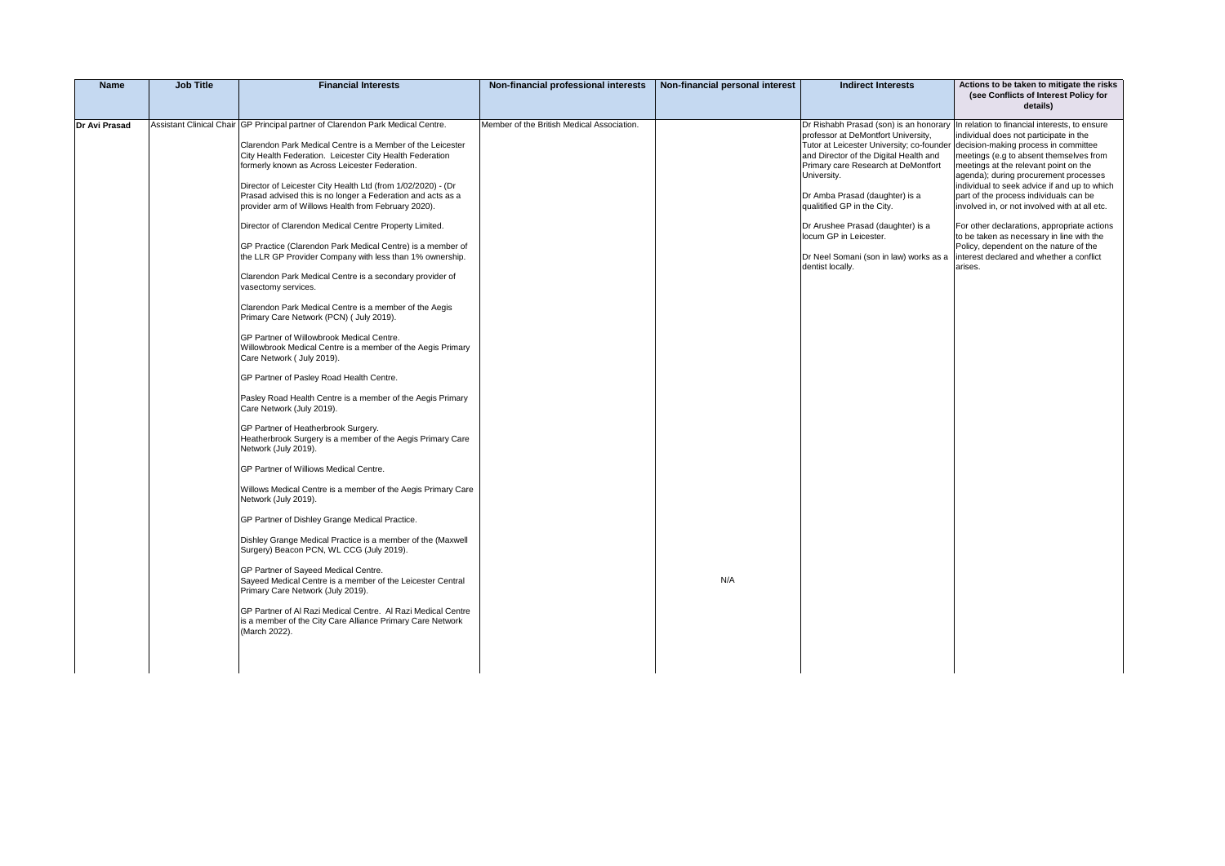| <b>Name</b>   | <b>Job Title</b> | <b>Financial Interests</b>                                                                                                                                                                                                                                                                                                                                                                                                                                                                                                                                                                                                                                                                                                                                                                                                                                                                                                                                                                                                                                                                                                                                                                                                                                                             | Non-financial professional interests       | Non-financial personal interest | <b>Indirect Interests</b>                                                                                                                                                                                                                                                                                                                                                      | Actions to be taken to mitigate the risks<br>(see Conflicts of Interest Policy for<br>details)                                                                                                                                                                                                                                                                                                                                                                                                                                                                                                                                              |
|---------------|------------------|----------------------------------------------------------------------------------------------------------------------------------------------------------------------------------------------------------------------------------------------------------------------------------------------------------------------------------------------------------------------------------------------------------------------------------------------------------------------------------------------------------------------------------------------------------------------------------------------------------------------------------------------------------------------------------------------------------------------------------------------------------------------------------------------------------------------------------------------------------------------------------------------------------------------------------------------------------------------------------------------------------------------------------------------------------------------------------------------------------------------------------------------------------------------------------------------------------------------------------------------------------------------------------------|--------------------------------------------|---------------------------------|--------------------------------------------------------------------------------------------------------------------------------------------------------------------------------------------------------------------------------------------------------------------------------------------------------------------------------------------------------------------------------|---------------------------------------------------------------------------------------------------------------------------------------------------------------------------------------------------------------------------------------------------------------------------------------------------------------------------------------------------------------------------------------------------------------------------------------------------------------------------------------------------------------------------------------------------------------------------------------------------------------------------------------------|
| Dr Avi Prasad |                  | Assistant Clinical Chair GP Principal partner of Clarendon Park Medical Centre.<br>Clarendon Park Medical Centre is a Member of the Leicester<br>City Health Federation. Leicester City Health Federation<br>formerly known as Across Leicester Federation.<br>Director of Leicester City Health Ltd (from 1/02/2020) - (Dr<br>Prasad advised this is no longer a Federation and acts as a<br>provider arm of Willows Health from February 2020).<br>Director of Clarendon Medical Centre Property Limited.<br>GP Practice (Clarendon Park Medical Centre) is a member of<br>the LLR GP Provider Company with less than 1% ownership.<br>Clarendon Park Medical Centre is a secondary provider of<br>vasectomy services.<br>Clarendon Park Medical Centre is a member of the Aegis<br>Primary Care Network (PCN) ( July 2019).<br>GP Partner of Willowbrook Medical Centre.<br>Willowbrook Medical Centre is a member of the Aegis Primary<br>Care Network ( July 2019).<br>GP Partner of Pasley Road Health Centre.<br>Pasley Road Health Centre is a member of the Aegis Primary<br>Care Network (July 2019).<br>GP Partner of Heatherbrook Surgery.<br>Heatherbrook Surgery is a member of the Aegis Primary Care<br>Network (July 2019).<br>GP Partner of Williows Medical Centre. | Member of the British Medical Association. |                                 | professor at DeMontfort University,<br>Tutor at Leicester University; co-founder<br>and Director of the Digital Health and<br>Primary care Research at DeMontfort<br>University.<br>Dr Amba Prasad (daughter) is a<br>qualitified GP in the City.<br>Dr Arushee Prasad (daughter) is a<br>locum GP in Leicester.<br>Dr Neel Somani (son in law) works as a<br>dentist locally. | Dr Rishabh Prasad (son) is an honorary In relation to financial interests, to ensure<br>individual does not participate in the<br>decision-making process in committee<br>meetings (e.g to absent themselves from<br>meetings at the relevant point on the<br>agenda); during procurement processes<br>individual to seek advice if and up to which<br>part of the process individuals can be<br>involved in, or not involved with at all etc.<br>For other declarations, appropriate actions<br>to be taken as necessary in line with the<br>Policy, dependent on the nature of the<br>interest declared and whether a conflict<br>arises. |
|               |                  | Willows Medical Centre is a member of the Aegis Primary Care<br>Network (July 2019).<br>GP Partner of Dishley Grange Medical Practice.<br>Dishley Grange Medical Practice is a member of the (Maxwell<br>Surgery) Beacon PCN, WL CCG (July 2019).<br>GP Partner of Sayeed Medical Centre.<br>Sayeed Medical Centre is a member of the Leicester Central<br>Primary Care Network (July 2019).<br>GP Partner of Al Razi Medical Centre. Al Razi Medical Centre<br>is a member of the City Care Alliance Primary Care Network<br>(March 2022).                                                                                                                                                                                                                                                                                                                                                                                                                                                                                                                                                                                                                                                                                                                                            |                                            | N/A                             |                                                                                                                                                                                                                                                                                                                                                                                |                                                                                                                                                                                                                                                                                                                                                                                                                                                                                                                                                                                                                                             |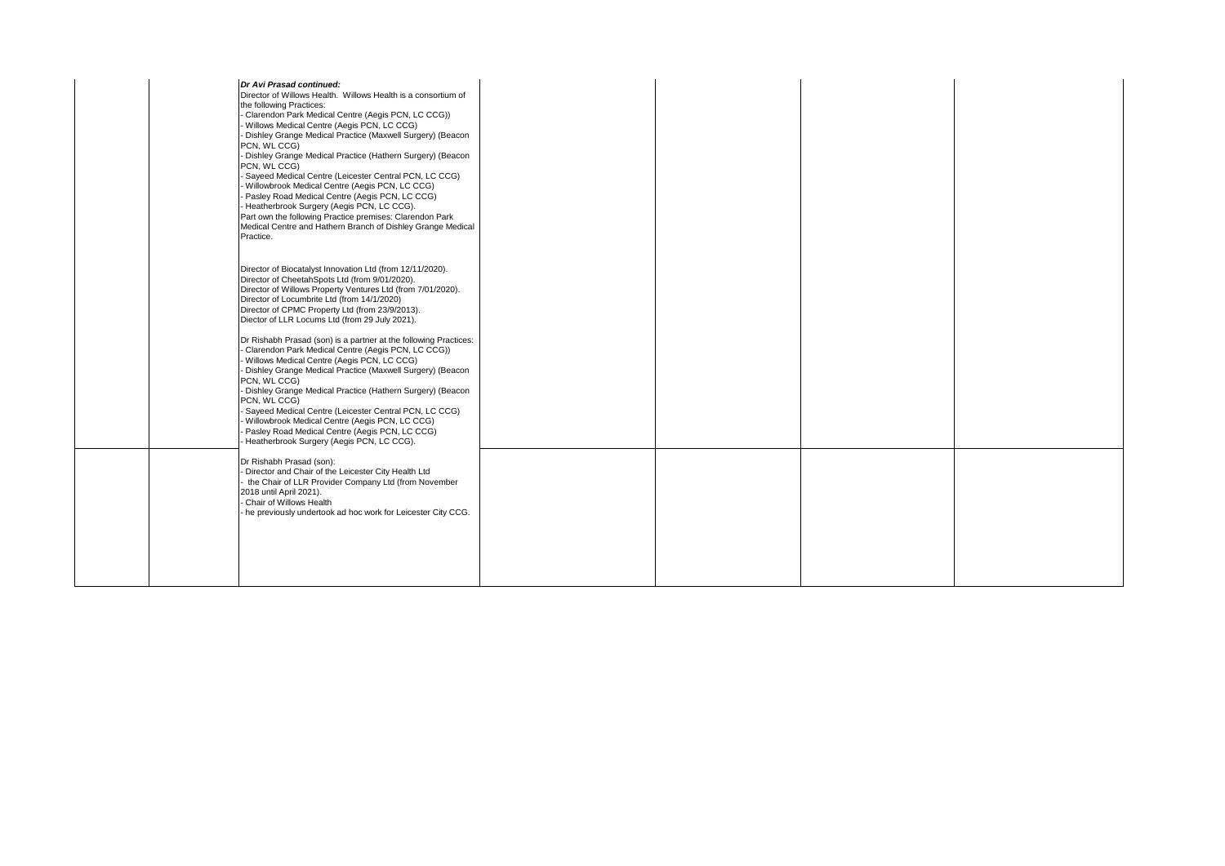| Dr Avi Prasad continued:<br>Director of Willows Health. Willows Health is a consortium of<br>the following Practices:<br>Clarendon Park Medical Centre (Aegis PCN, LC CCG))<br>Willows Medical Centre (Aegis PCN, LC CCG)<br>Dishley Grange Medical Practice (Maxwell Surgery) (Beacon<br>PCN. WL CCG)<br>Dishley Grange Medical Practice (Hathern Surgery) (Beacon<br>PCN, WL CCG)<br>Sayeed Medical Centre (Leicester Central PCN, LC CCG)<br>Willowbrook Medical Centre (Aegis PCN, LC CCG)<br>Pasley Road Medical Centre (Aegis PCN, LC CCG)<br>Heatherbrook Surgery (Aegis PCN, LC CCG).<br>Part own the following Practice premises: Clarendon Park<br>Medical Centre and Hathern Branch of Dishley Grange Medical<br>Practice.                                                                                         |  |  |
|-------------------------------------------------------------------------------------------------------------------------------------------------------------------------------------------------------------------------------------------------------------------------------------------------------------------------------------------------------------------------------------------------------------------------------------------------------------------------------------------------------------------------------------------------------------------------------------------------------------------------------------------------------------------------------------------------------------------------------------------------------------------------------------------------------------------------------|--|--|
| Director of Biocatalyst Innovation Ltd (from 12/11/2020).<br>Director of CheetahSpots Ltd (from 9/01/2020).<br>Director of Willows Property Ventures Ltd (from 7/01/2020).<br>Director of Locumbrite Ltd (from 14/1/2020)<br>Director of CPMC Property Ltd (from 23/9/2013).<br>Diector of LLR Locums Ltd (from 29 July 2021).<br>Dr Rishabh Prasad (son) is a partner at the following Practices:<br>Clarendon Park Medical Centre (Aegis PCN, LC CCG))<br>Willows Medical Centre (Aegis PCN, LC CCG)<br>Dishley Grange Medical Practice (Maxwell Surgery) (Beacon<br>PCN, WL CCG)<br>Dishley Grange Medical Practice (Hathern Surgery) (Beacon<br>PCN, WL CCG)<br>Sayeed Medical Centre (Leicester Central PCN, LC CCG)<br>Willowbrook Medical Centre (Aegis PCN, LC CCG)<br>Pasley Road Medical Centre (Aegis PCN, LC CCG) |  |  |
| Heatherbrook Surgery (Aegis PCN, LC CCG).<br>Dr Rishabh Prasad (son):<br>Director and Chair of the Leicester City Health Ltd<br>the Chair of LLR Provider Company Ltd (from November<br>2018 until April 2021).<br>Chair of Willows Health<br>he previously undertook ad hoc work for Leicester City CCG.                                                                                                                                                                                                                                                                                                                                                                                                                                                                                                                     |  |  |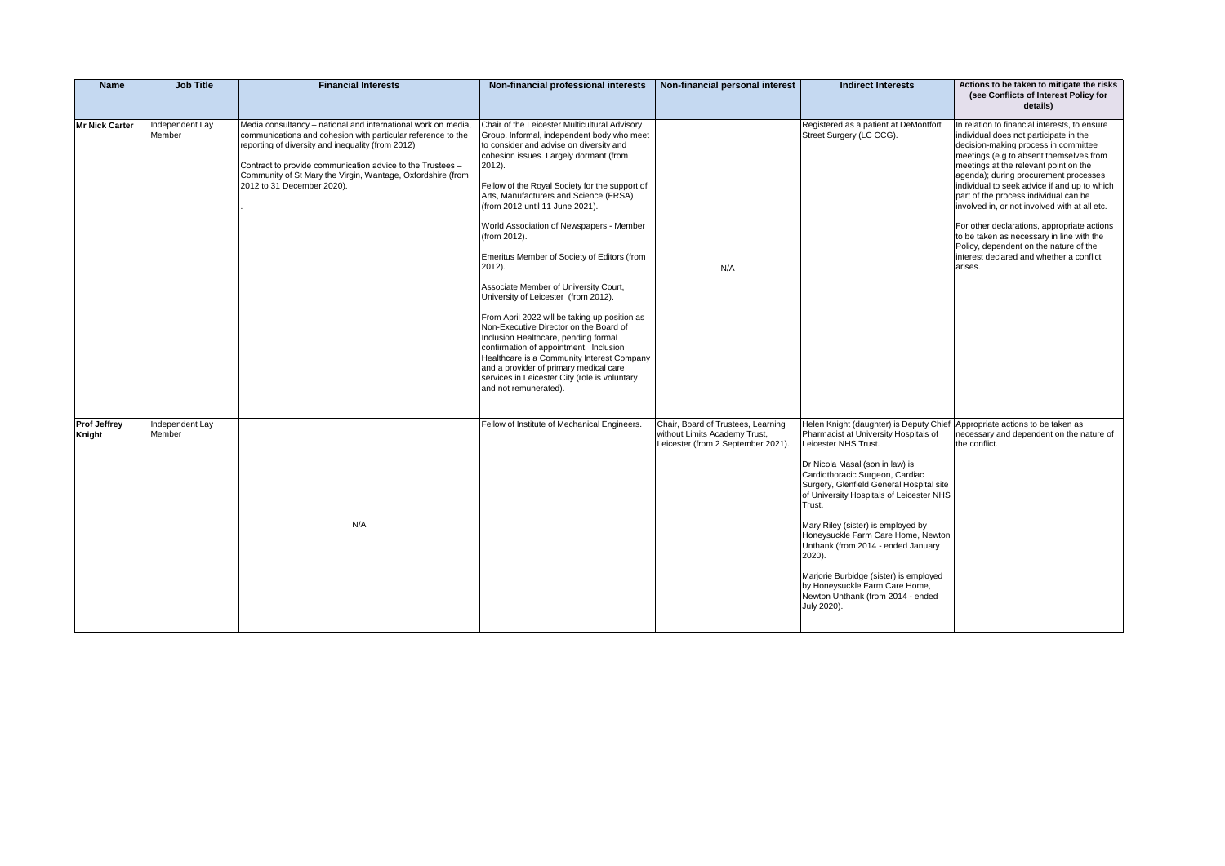| <b>Name</b>                   | <b>Job Title</b>          | <b>Financial Interests</b>                                                                                                                                                                                                                                                                                                                    | Non-financial professional interests                                                                                                                                                                                                                                                                                                                                                                                                                                                                                                                                                                                                                                                                                                                                                                                                                                           | Non-financial personal interest                                                                           | <b>Indirect Interests</b>                                                                                                                                                                                                                                                                                                                                                                                                                                                                                                                                                       | Actions to be taken to mitigate the risks<br>(see Conflicts of Interest Policy for                                                                                                                                                                                                                                                                                                                                                                                                                                                                                                                  |
|-------------------------------|---------------------------|-----------------------------------------------------------------------------------------------------------------------------------------------------------------------------------------------------------------------------------------------------------------------------------------------------------------------------------------------|--------------------------------------------------------------------------------------------------------------------------------------------------------------------------------------------------------------------------------------------------------------------------------------------------------------------------------------------------------------------------------------------------------------------------------------------------------------------------------------------------------------------------------------------------------------------------------------------------------------------------------------------------------------------------------------------------------------------------------------------------------------------------------------------------------------------------------------------------------------------------------|-----------------------------------------------------------------------------------------------------------|---------------------------------------------------------------------------------------------------------------------------------------------------------------------------------------------------------------------------------------------------------------------------------------------------------------------------------------------------------------------------------------------------------------------------------------------------------------------------------------------------------------------------------------------------------------------------------|-----------------------------------------------------------------------------------------------------------------------------------------------------------------------------------------------------------------------------------------------------------------------------------------------------------------------------------------------------------------------------------------------------------------------------------------------------------------------------------------------------------------------------------------------------------------------------------------------------|
|                               |                           |                                                                                                                                                                                                                                                                                                                                               |                                                                                                                                                                                                                                                                                                                                                                                                                                                                                                                                                                                                                                                                                                                                                                                                                                                                                |                                                                                                           |                                                                                                                                                                                                                                                                                                                                                                                                                                                                                                                                                                                 | details)                                                                                                                                                                                                                                                                                                                                                                                                                                                                                                                                                                                            |
| <b>Mr Nick Carter</b>         | Independent Lay<br>Member | Media consultancy - national and international work on media,<br>communications and cohesion with particular reference to the<br>reporting of diversity and inequality (from 2012)<br>Contract to provide communication advice to the Trustees -<br>Community of St Mary the Virgin, Wantage, Oxfordshire (from<br>2012 to 31 December 2020). | Chair of the Leicester Multicultural Advisory<br>Group. Informal, independent body who meet<br>to consider and advise on diversity and<br>cohesion issues. Largely dormant (from<br>2012).<br>Fellow of the Royal Society for the support of<br>Arts, Manufacturers and Science (FRSA)<br>(from 2012 until 11 June 2021).<br>World Association of Newspapers - Member<br>(from 2012).<br>Emeritus Member of Society of Editors (from<br>2012).<br>Associate Member of University Court,<br>University of Leicester (from 2012).<br>From April 2022 will be taking up position as<br>Non-Executive Director on the Board of<br>Inclusion Healthcare, pending formal<br>confirmation of appointment. Inclusion<br>Healthcare is a Community Interest Company<br>and a provider of primary medical care<br>services in Leicester City (role is voluntary<br>and not remunerated). | N/A                                                                                                       | Registered as a patient at DeMontfort<br>Street Surgery (LC CCG).                                                                                                                                                                                                                                                                                                                                                                                                                                                                                                               | In relation to financial interests, to ensure<br>individual does not participate in the<br>decision-making process in committee<br>meetings (e.g to absent themselves from<br>meetings at the relevant point on the<br>agenda); during procurement processes<br>individual to seek advice if and up to which<br>part of the process individual can be<br>involved in, or not involved with at all etc.<br>For other declarations, appropriate actions<br>to be taken as necessary in line with the<br>Policy, dependent on the nature of the<br>interest declared and whether a conflict<br>arises. |
| <b>Prof Jeffrey</b><br>Knight | Independent Lay<br>Member | N/A                                                                                                                                                                                                                                                                                                                                           | Fellow of Institute of Mechanical Engineers.                                                                                                                                                                                                                                                                                                                                                                                                                                                                                                                                                                                                                                                                                                                                                                                                                                   | Chair, Board of Trustees, Learning<br>without Limits Academy Trust,<br>Leicester (from 2 September 2021). | Helen Knight (daughter) is Deputy Chief Appropriate actions to be taken as<br>Pharmacist at University Hospitals of<br>Leicester NHS Trust.<br>Dr Nicola Masal (son in law) is<br>Cardiothoracic Surgeon, Cardiac<br>Surgery, Glenfield General Hospital site<br>of University Hospitals of Leicester NHS<br>Trust.<br>Mary Riley (sister) is employed by<br>Honeysuckle Farm Care Home, Newton<br>Unthank (from 2014 - ended January<br>2020).<br>Marjorie Burbidge (sister) is employed<br>by Honeysuckle Farm Care Home,<br>Newton Unthank (from 2014 - ended<br>July 2020). | necessary and dependent on the nature of<br>the conflict.                                                                                                                                                                                                                                                                                                                                                                                                                                                                                                                                           |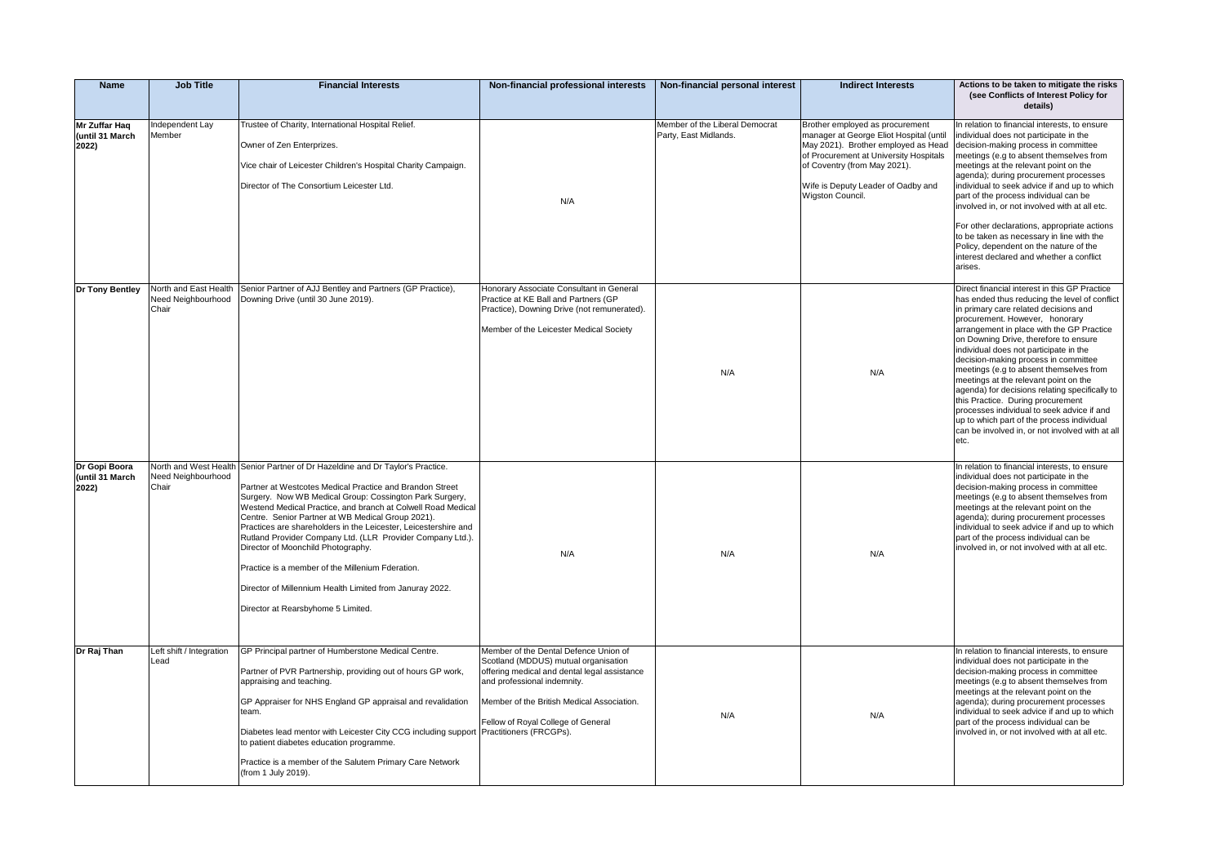| <b>Name</b>                               | <b>Job Title</b>                 | <b>Financial Interests</b>                                                                                                                                                                                                                                                                                                                                                                                                                                                                                                                                                                                                                              | Non-financial professional interests                                                                                                                                                                                                             | Non-financial personal interest                         | <b>Indirect Interests</b>                                                                                                                                                                                                                             | Actions to be taken to mitigate the risks<br>(see Conflicts of Interest Policy for<br>details)                                                                                                                                                                                                                                                                                                                                                                                                                                                                                                                                                                                      |
|-------------------------------------------|----------------------------------|---------------------------------------------------------------------------------------------------------------------------------------------------------------------------------------------------------------------------------------------------------------------------------------------------------------------------------------------------------------------------------------------------------------------------------------------------------------------------------------------------------------------------------------------------------------------------------------------------------------------------------------------------------|--------------------------------------------------------------------------------------------------------------------------------------------------------------------------------------------------------------------------------------------------|---------------------------------------------------------|-------------------------------------------------------------------------------------------------------------------------------------------------------------------------------------------------------------------------------------------------------|-------------------------------------------------------------------------------------------------------------------------------------------------------------------------------------------------------------------------------------------------------------------------------------------------------------------------------------------------------------------------------------------------------------------------------------------------------------------------------------------------------------------------------------------------------------------------------------------------------------------------------------------------------------------------------------|
| Mr Zuffar Hag<br>(until 31 March<br>2022) | Independent Lay<br>Member        | Trustee of Charity, International Hospital Relief.<br>Owner of Zen Enterprizes.<br>Vice chair of Leicester Children's Hospital Charity Campaign.<br>Director of The Consortium Leicester Ltd.                                                                                                                                                                                                                                                                                                                                                                                                                                                           | N/A                                                                                                                                                                                                                                              | Member of the Liberal Democrat<br>Party, East Midlands. | Brother employed as procurement<br>manager at George Eliot Hospital (until<br>May 2021). Brother employed as Head<br>of Procurement at University Hospitals<br>of Coventry (from May 2021).<br>Wife is Deputy Leader of Oadby and<br>Wigston Council. | In relation to financial interests, to ensure<br>individual does not participate in the<br>decision-making process in committee<br>meetings (e.g to absent themselves from<br>meetings at the relevant point on the<br>agenda); during procurement processes<br>individual to seek advice if and up to which<br>part of the process individual can be<br>involved in, or not involved with at all etc.<br>For other declarations, appropriate actions<br>to be taken as necessary in line with the<br>Policy, dependent on the nature of the<br>interest declared and whether a conflict<br>arises.                                                                                 |
| Dr Tony Bentley                           | Need Neighbourhood<br>Chair      | North and East Health Senior Partner of AJJ Bentley and Partners (GP Practice),<br>Downing Drive (until 30 June 2019).                                                                                                                                                                                                                                                                                                                                                                                                                                                                                                                                  | Honorary Associate Consultant in General<br>Practice at KE Ball and Partners (GP<br>Practice), Downing Drive (not remunerated).<br>Member of the Leicester Medical Society                                                                       | N/A                                                     | N/A                                                                                                                                                                                                                                                   | Direct financial interest in this GP Practice<br>has ended thus reducing the level of conflict<br>in primary care related decisions and<br>procurement. However, honorary<br>arrangement in place with the GP Practice<br>on Downing Drive, therefore to ensure<br>individual does not participate in the<br>decision-making process in committee<br>meetings (e.g to absent themselves from<br>meetings at the relevant point on the<br>agenda) for decisions relating specifically to<br>this Practice. During procurement<br>processes individual to seek advice if and<br>up to which part of the process individual<br>can be involved in, or not involved with at all<br>etc. |
| Dr Gopi Boora<br>(until 31 March<br>2022) | Need Neighbourhood<br>Chair      | North and West Health Senior Partner of Dr Hazeldine and Dr Taylor's Practice.<br>Partner at Westcotes Medical Practice and Brandon Street<br>Surgery. Now WB Medical Group: Cossington Park Surgery,<br>Westend Medical Practice, and branch at Colwell Road Medical<br>Centre. Senior Partner at WB Medical Group 2021).<br>Practices are shareholders in the Leicester, Leicestershire and<br>Rutland Provider Company Ltd. (LLR Provider Company Ltd.).<br>Director of Moonchild Photography.<br>Practice is a member of the Millenium Fderation.<br>Director of Millennium Health Limited from Januray 2022.<br>Director at Rearsbyhome 5 Limited. | N/A                                                                                                                                                                                                                                              | N/A                                                     | N/A                                                                                                                                                                                                                                                   | In relation to financial interests, to ensure<br>individual does not participate in the<br>decision-making process in committee<br>meetings (e.g to absent themselves from<br>meetings at the relevant point on the<br>agenda); during procurement processes<br>individual to seek advice if and up to which<br>part of the process individual can be<br>involved in, or not involved with at all etc.                                                                                                                                                                                                                                                                              |
| Dr Raj Than                               | Left shift / Integration<br>Lead | GP Principal partner of Humberstone Medical Centre.<br>Partner of PVR Partnership, providing out of hours GP work,<br>appraising and teaching.<br>GP Appraiser for NHS England GP appraisal and revalidation<br>team.<br>Diabetes lead mentor with Leicester City CCG including support Practitioners (FRCGPs).<br>to patient diabetes education programme.<br>Practice is a member of the Salutem Primary Care Network<br>(from 1 July 2019).                                                                                                                                                                                                          | Member of the Dental Defence Union of<br>Scotland (MDDUS) mutual organisation<br>offering medical and dental legal assistance<br>and professional indemnity.<br>Member of the British Medical Association.<br>Fellow of Royal College of General | N/A                                                     | N/A                                                                                                                                                                                                                                                   | In relation to financial interests, to ensure<br>individual does not participate in the<br>decision-making process in committee<br>meetings (e.g to absent themselves from<br>meetings at the relevant point on the<br>agenda); during procurement processes<br>individual to seek advice if and up to which<br>part of the process individual can be<br>involved in, or not involved with at all etc.                                                                                                                                                                                                                                                                              |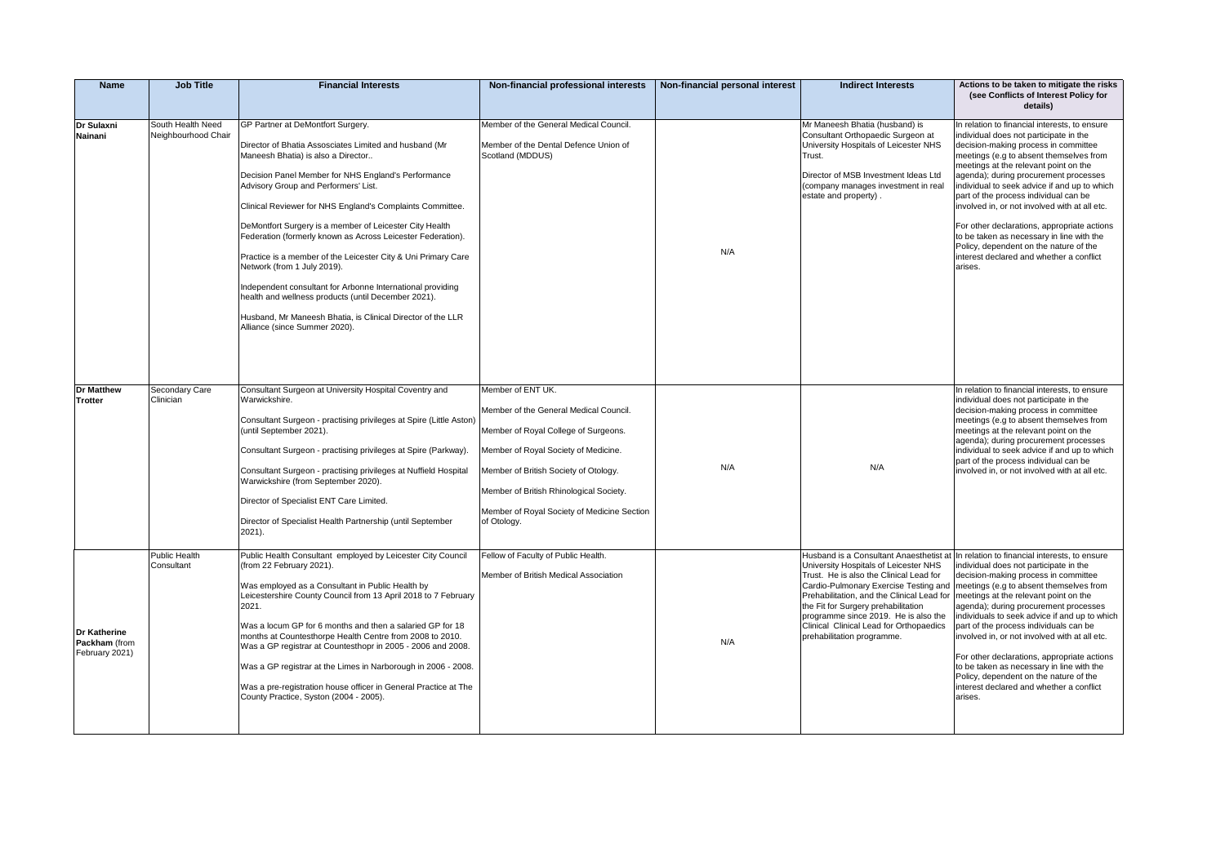| <b>Name</b>                                            | <b>Job Title</b>                         | <b>Financial Interests</b>                                                                                                                                                                                                                                                                                                                                                                                                                                                                                                                                                                                                                                                                                                                   | Non-financial professional interests                                                                                                                                                                                                                                                          | Non-financial personal interest | <b>Indirect Interests</b>                                                                                                                                                                                                                                                                                                      | Actions to be taken to mitigate the risks<br>(see Conflicts of Interest Policy for<br>details)                                                                                                                                                                                                                                                                                                                                                                                                                                                                                                                                               |
|--------------------------------------------------------|------------------------------------------|----------------------------------------------------------------------------------------------------------------------------------------------------------------------------------------------------------------------------------------------------------------------------------------------------------------------------------------------------------------------------------------------------------------------------------------------------------------------------------------------------------------------------------------------------------------------------------------------------------------------------------------------------------------------------------------------------------------------------------------------|-----------------------------------------------------------------------------------------------------------------------------------------------------------------------------------------------------------------------------------------------------------------------------------------------|---------------------------------|--------------------------------------------------------------------------------------------------------------------------------------------------------------------------------------------------------------------------------------------------------------------------------------------------------------------------------|----------------------------------------------------------------------------------------------------------------------------------------------------------------------------------------------------------------------------------------------------------------------------------------------------------------------------------------------------------------------------------------------------------------------------------------------------------------------------------------------------------------------------------------------------------------------------------------------------------------------------------------------|
| Dr Sulaxni<br>Nainani                                  | South Health Need<br>Neighbourhood Chair | GP Partner at DeMontfort Surgery.<br>Director of Bhatia Assosciates Limited and husband (Mr<br>Maneesh Bhatia) is also a Director<br>Decision Panel Member for NHS England's Performance<br>Advisory Group and Performers' List.<br>Clinical Reviewer for NHS England's Complaints Committee.<br>DeMontfort Surgery is a member of Leicester City Health<br>Federation (formerly known as Across Leicester Federation).<br>Practice is a member of the Leicester City & Uni Primary Care<br>Network (from 1 July 2019).<br>Independent consultant for Arbonne International providing<br>health and wellness products (until December 2021).<br>Husband, Mr Maneesh Bhatia, is Clinical Director of the LLR<br>Alliance (since Summer 2020). | Member of the General Medical Council.<br>Member of the Dental Defence Union of<br>Scotland (MDDUS)                                                                                                                                                                                           | N/A                             | Mr Maneesh Bhatia (husband) is<br>Consultant Orthopaedic Surgeon at<br>University Hospitals of Leicester NHS<br>Trust.<br>Director of MSB Investment Ideas Ltd<br>(company manages investment in real<br>estate and property).                                                                                                 | In relation to financial interests, to ensure<br>individual does not participate in the<br>decision-making process in committee<br>meetings (e.g to absent themselves from<br>meetings at the relevant point on the<br>agenda); during procurement processes<br>individual to seek advice if and up to which<br>part of the process individual can be<br>involved in, or not involved with at all etc.<br>For other declarations, appropriate actions<br>to be taken as necessary in line with the<br>Policy, dependent on the nature of the<br>interest declared and whether a conflict<br>arises.                                          |
| <b>Dr Matthew</b><br><b>Trotter</b>                    | Secondary Care<br>Clinician              | Consultant Surgeon at University Hospital Coventry and<br>Warwickshire.<br>Consultant Surgeon - practising privileges at Spire (Little Aston)<br>(until September 2021).<br>Consultant Surgeon - practising privileges at Spire (Parkway).<br>Consultant Surgeon - practising privileges at Nuffield Hospital<br>Warwickshire (from September 2020).<br>Director of Specialist ENT Care Limited.<br>Director of Specialist Health Partnership (until September<br>$2021$ ).                                                                                                                                                                                                                                                                  | Member of ENT UK.<br>Member of the General Medical Council.<br>Member of Royal College of Surgeons.<br>Member of Royal Society of Medicine.<br>Member of British Society of Otology.<br>Member of British Rhinological Society.<br>Member of Royal Society of Medicine Section<br>of Otology. | N/A                             | N/A                                                                                                                                                                                                                                                                                                                            | In relation to financial interests, to ensure<br>individual does not participate in the<br>decision-making process in committee<br>meetings (e.g to absent themselves from<br>meetings at the relevant point on the<br>agenda); during procurement processes<br>individual to seek advice if and up to which<br>part of the process individual can be<br>involved in, or not involved with at all etc.                                                                                                                                                                                                                                       |
| <b>Dr Katherine</b><br>Packham (from<br>February 2021) | Public Health<br>Consultant              | Public Health Consultant employed by Leicester City Council<br>(from 22 February 2021).<br>Was employed as a Consultant in Public Health by<br>Leicestershire County Council from 13 April 2018 to 7 February<br>2021.<br>Was a locum GP for 6 months and then a salaried GP for 18<br>months at Countesthorpe Health Centre from 2008 to 2010.<br>Was a GP registrar at Countesthopr in 2005 - 2006 and 2008.<br>Was a GP registrar at the Limes in Narborough in 2006 - 2008.<br>Was a pre-registration house officer in General Practice at The<br>County Practice, Syston (2004 - 2005).                                                                                                                                                 | Fellow of Faculty of Public Health.<br>Member of British Medical Association                                                                                                                                                                                                                  | N/A                             | University Hospitals of Leicester NHS<br>Trust. He is also the Clinical Lead for<br>Prehabilitation, and the Clinical Lead for   meetings at the relevant point on the<br>the Fit for Surgery prehabilitation<br>programme since 2019. He is also the<br>Clinical Clinical Lead for Orthopaedics<br>prehabilitation programme. | Husband is a Consultant Anaesthetist at In relation to financial interests, to ensure<br>individual does not participate in the<br>decision-making process in committee<br>Cardio-Pulmonary Exercise Testing and   meetings (e.g to absent themselves from<br>agenda); during procurement processes<br>individuals to seek advice if and up to which<br>part of the process individuals can be<br>involved in, or not involved with at all etc.<br>For other declarations, appropriate actions<br>to be taken as necessary in line with the<br>Policy, dependent on the nature of the<br>interest declared and whether a conflict<br>arises. |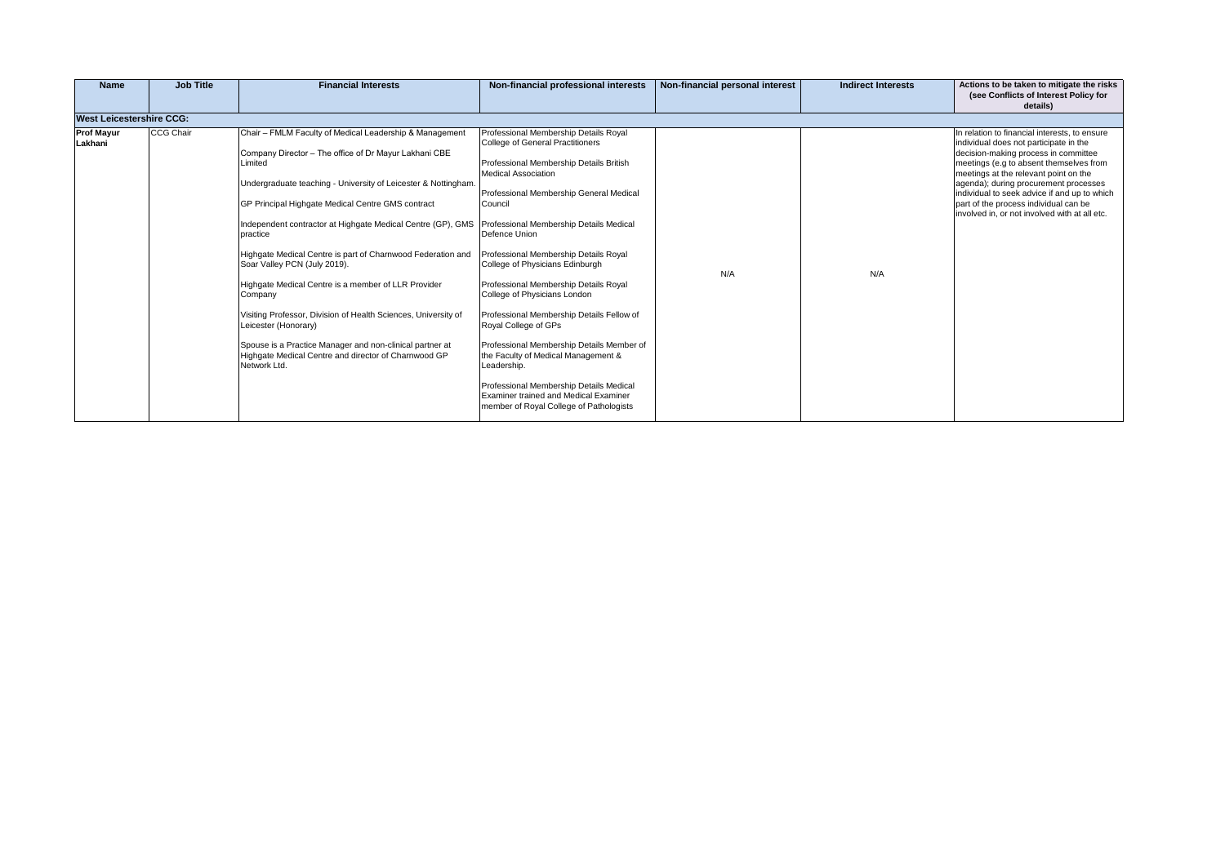|     |                                           |  |                                                                                                        |                                                                                                                                                                                                                                                                                                                                                                                                                                                                                                                                                                                                                                                                                                                                                                                                                                                                                                                                                                                                                                                                                                                                                                                                                                                                                                                  |           | <b>West Leicestershire CCG:</b> |
|-----|-------------------------------------------|--|--------------------------------------------------------------------------------------------------------|------------------------------------------------------------------------------------------------------------------------------------------------------------------------------------------------------------------------------------------------------------------------------------------------------------------------------------------------------------------------------------------------------------------------------------------------------------------------------------------------------------------------------------------------------------------------------------------------------------------------------------------------------------------------------------------------------------------------------------------------------------------------------------------------------------------------------------------------------------------------------------------------------------------------------------------------------------------------------------------------------------------------------------------------------------------------------------------------------------------------------------------------------------------------------------------------------------------------------------------------------------------------------------------------------------------|-----------|---------------------------------|
| N/A | Professional Membership Details Member of |  | Limited<br>practice<br>Soar Valley PCN (July 2019).<br>Company<br>Leicester (Honorary)<br>Network Ltd. | Chair - FMLM Faculty of Medical Leadership & Management<br>Professional Membership Details Royal<br>College of General Practitioners<br>Company Director - The office of Dr Mayur Lakhani CBE<br>Professional Membership Details British<br><b>Medical Association</b><br>Undergraduate teaching - University of Leicester & Nottingham.<br>Professional Membership General Medical<br>GP Principal Highgate Medical Centre GMS contract<br>Council<br>Independent contractor at Highgate Medical Centre (GP), GMS<br>Professional Membership Details Medical<br>Defence Union<br>Highgate Medical Centre is part of Charnwood Federation and<br>Professional Membership Details Royal<br>College of Physicians Edinburgh<br>Professional Membership Details Royal<br>Highgate Medical Centre is a member of LLR Provider<br>College of Physicians London<br>Visiting Professor, Division of Health Sciences, University of<br>Professional Membership Details Fellow of<br>Royal College of GPs<br>Spouse is a Practice Manager and non-clinical partner at<br>Highgate Medical Centre and director of Charnwood GP<br>the Faculty of Medical Management &<br>Leadership.<br>Professional Membership Details Medical<br><b>Examiner trained and Medical Examiner</b><br>member of Royal College of Pathologists | CCG Chair | <b>Prof Mayur</b><br>Lakhani    |
|     |                                           |  |                                                                                                        |                                                                                                                                                                                                                                                                                                                                                                                                                                                                                                                                                                                                                                                                                                                                                                                                                                                                                                                                                                                                                                                                                                                                                                                                                                                                                                                  |           |                                 |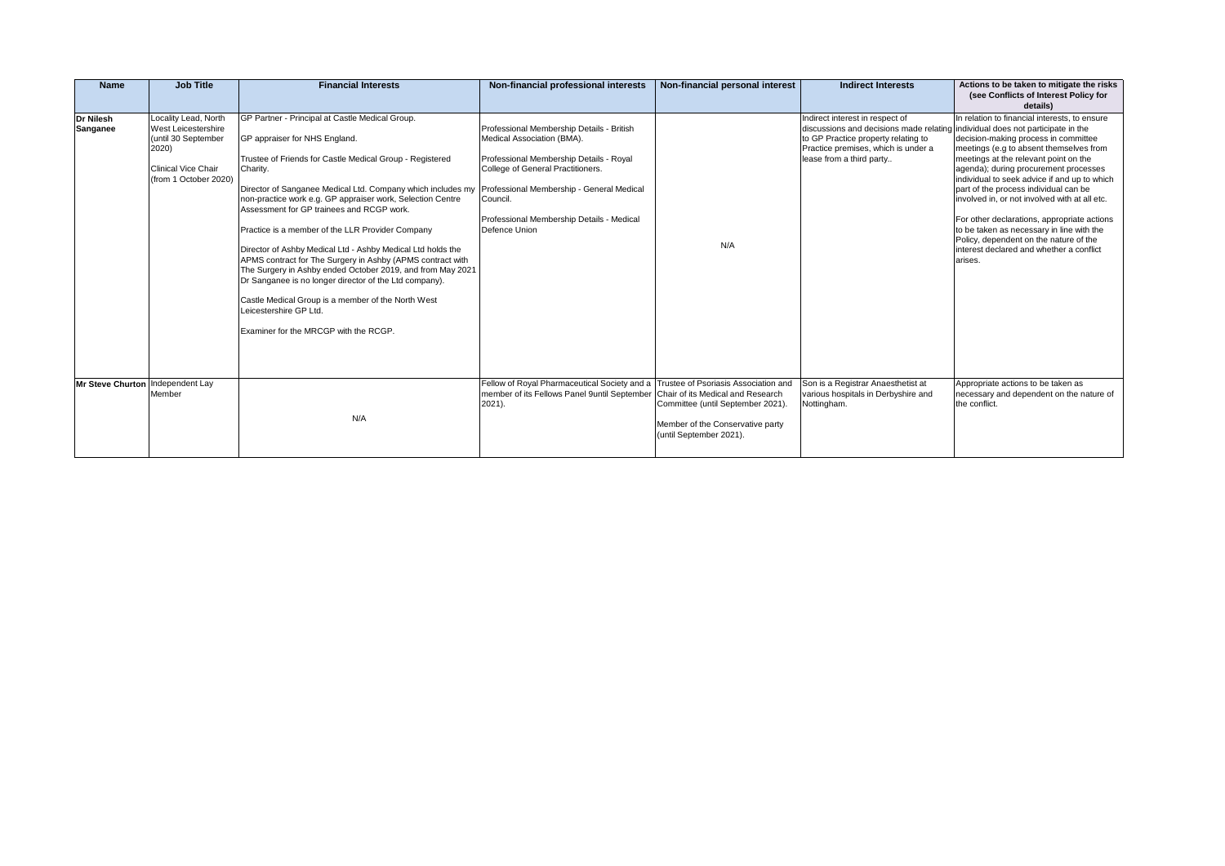| Name                             | <b>Job Title</b>                                                                                                                   | <b>Financial Interests</b>                                                                                                                                                                                                                                                                                                                                                                                                                                                                                                                                                                                                                                                                                                                                           | Non-financial professional interests                                                                                                                                                                                                                                           | Non-financial personal interest                                                                  | <b>Indirect Interests</b>                                                                                                                                                                                                   | Actions to be taken to mitigate the risks<br>(see Conflicts of Interest Policy for<br>details)                                                                                                                                                                                                                                                                                                                                                                                                                                                            |
|----------------------------------|------------------------------------------------------------------------------------------------------------------------------------|----------------------------------------------------------------------------------------------------------------------------------------------------------------------------------------------------------------------------------------------------------------------------------------------------------------------------------------------------------------------------------------------------------------------------------------------------------------------------------------------------------------------------------------------------------------------------------------------------------------------------------------------------------------------------------------------------------------------------------------------------------------------|--------------------------------------------------------------------------------------------------------------------------------------------------------------------------------------------------------------------------------------------------------------------------------|--------------------------------------------------------------------------------------------------|-----------------------------------------------------------------------------------------------------------------------------------------------------------------------------------------------------------------------------|-----------------------------------------------------------------------------------------------------------------------------------------------------------------------------------------------------------------------------------------------------------------------------------------------------------------------------------------------------------------------------------------------------------------------------------------------------------------------------------------------------------------------------------------------------------|
| Dr Nilesh<br>Sanganee            | Locality Lead, North<br>West Leicestershire<br>(until 30 September<br>2020)<br><b>Clinical Vice Chair</b><br>(from 1 October 2020) | GP Partner - Principal at Castle Medical Group.<br>GP appraiser for NHS England.<br>Trustee of Friends for Castle Medical Group - Registered<br>Charity.<br>Director of Sanganee Medical Ltd. Company which includes my<br>non-practice work e.g. GP appraiser work, Selection Centre<br>Assessment for GP trainees and RCGP work.<br>Practice is a member of the LLR Provider Company<br>Director of Ashby Medical Ltd - Ashby Medical Ltd holds the<br>APMS contract for The Surgery in Ashby (APMS contract with<br>The Surgery in Ashby ended October 2019, and from May 2021<br>Dr Sanganee is no longer director of the Ltd company).<br>Castle Medical Group is a member of the North West<br>Leicestershire GP Ltd.<br>Examiner for the MRCGP with the RCGP. | Professional Membership Details - British<br>Medical Association (BMA).<br>Professional Membership Details - Royal<br>College of General Practitioners.<br>Professional Membership - General Medical<br>Council.<br>Professional Membership Details - Medical<br>Defence Union | N/A                                                                                              | Indirect interest in respect of<br>discussions and decisions made relating individual does not participate in the<br>to GP Practice property relating to<br>Practice premises, which is under a<br>lease from a third party | In relation to financial interests, to ensure<br>decision-making process in committee<br>meetings (e.g to absent themselves from<br>meetings at the relevant point on the<br>agenda); during procurement processes<br>individual to seek advice if and up to which<br>part of the process individual can be<br>involved in, or not involved with at all etc.<br>For other declarations, appropriate actions<br>to be taken as necessary in line with the<br>Policy, dependent on the nature of the<br>interest declared and whether a conflict<br>arises. |
| Mr Steve Churton Independent Lay | Member                                                                                                                             | N/A                                                                                                                                                                                                                                                                                                                                                                                                                                                                                                                                                                                                                                                                                                                                                                  | Fellow of Royal Pharmaceutical Society and a Trustee of Psoriasis Association and<br>member of its Fellows Panel 9until September Chair of its Medical and Research<br>2021).                                                                                                  | Committee (until September 2021).<br>Member of the Conservative party<br>(until September 2021). | Son is a Registrar Anaesthetist at<br>various hospitals in Derbyshire and<br>Nottingham.                                                                                                                                    | Appropriate actions to be taken as<br>necessary and dependent on the nature of<br>the conflict.                                                                                                                                                                                                                                                                                                                                                                                                                                                           |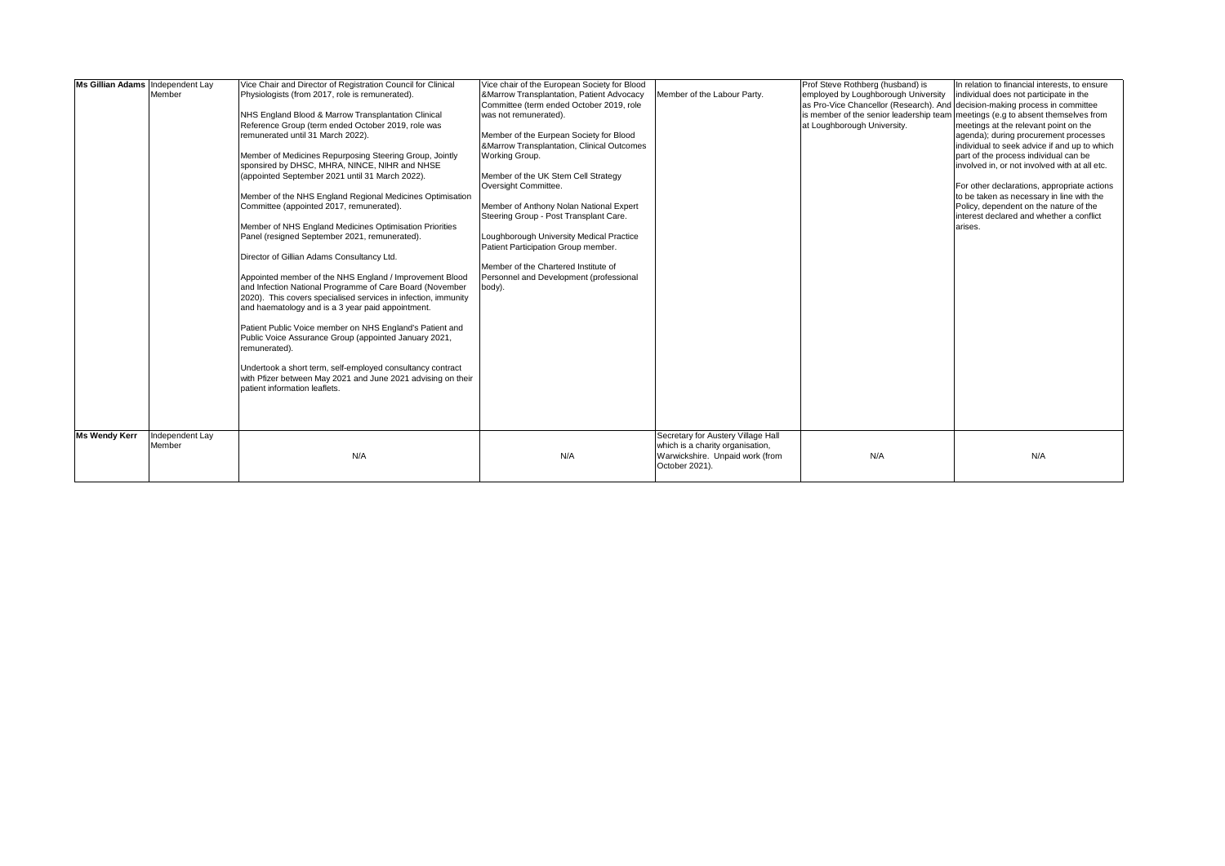| Ms Gillian Adams Independent Lay |                 | Vice Chair and Director of Registration Council for Clinical                                     | Vice chair of the European Society for Blood |                                    | Prof Steve Rothberg (husband) is                                            | In relation to financial interests, to ensure                                   |
|----------------------------------|-----------------|--------------------------------------------------------------------------------------------------|----------------------------------------------|------------------------------------|-----------------------------------------------------------------------------|---------------------------------------------------------------------------------|
|                                  | Member          | Physiologists (from 2017, role is remunerated).                                                  | &Marrow Transplantation, Patient Advocacy    | Member of the Labour Party.        | employed by Loughborough University                                         | individual does not participate in the                                          |
|                                  |                 |                                                                                                  | Committee (term ended October 2019, role     |                                    | as Pro-Vice Chancellor (Research). And decision-making process in committee |                                                                                 |
|                                  |                 | NHS England Blood & Marrow Transplantation Clinical                                              | was not remunerated).                        |                                    |                                                                             | is member of the senior leadership team meetings (e.g to absent themselves from |
|                                  |                 | Reference Group (term ended October 2019, role was                                               |                                              |                                    | at Loughborough University.                                                 | meetings at the relevant point on the                                           |
|                                  |                 | remunerated until 31 March 2022).                                                                | Member of the Eurpean Society for Blood      |                                    |                                                                             | agenda); during procurement processes                                           |
|                                  |                 |                                                                                                  | &Marrow Transplantation, Clinical Outcomes   |                                    |                                                                             | individual to seek advice if and up to which                                    |
|                                  |                 | Member of Medicines Repurposing Steering Group, Jointly                                          | Working Group.                               |                                    |                                                                             | part of the process individual can be                                           |
|                                  |                 | sponsired by DHSC, MHRA, NINCE, NIHR and NHSE<br>(appointed September 2021 until 31 March 2022). | Member of the UK Stem Cell Strategy          |                                    |                                                                             | involved in, or not involved with at all etc.                                   |
|                                  |                 |                                                                                                  | Oversight Committee.                         |                                    |                                                                             | For other declarations, appropriate actions                                     |
|                                  |                 | Member of the NHS England Regional Medicines Optimisation                                        |                                              |                                    |                                                                             | to be taken as necessary in line with the                                       |
|                                  |                 | Committee (appointed 2017, remunerated).                                                         | Member of Anthony Nolan National Expert      |                                    |                                                                             | Policy, dependent on the nature of the                                          |
|                                  |                 |                                                                                                  | Steering Group - Post Transplant Care.       |                                    |                                                                             | interest declared and whether a conflict                                        |
|                                  |                 | Member of NHS England Medicines Optimisation Priorities                                          |                                              |                                    |                                                                             | arises.                                                                         |
|                                  |                 | Panel (resigned September 2021, remunerated).                                                    | Loughborough University Medical Practice     |                                    |                                                                             |                                                                                 |
|                                  |                 |                                                                                                  | Patient Participation Group member.          |                                    |                                                                             |                                                                                 |
|                                  |                 | Director of Gillian Adams Consultancy Ltd.                                                       |                                              |                                    |                                                                             |                                                                                 |
|                                  |                 |                                                                                                  | Member of the Chartered Institute of         |                                    |                                                                             |                                                                                 |
|                                  |                 | Appointed member of the NHS England / Improvement Blood                                          | Personnel and Development (professional      |                                    |                                                                             |                                                                                 |
|                                  |                 | and Infection National Programme of Care Board (November                                         | body).                                       |                                    |                                                                             |                                                                                 |
|                                  |                 | 2020). This covers specialised services in infection, immunity                                   |                                              |                                    |                                                                             |                                                                                 |
|                                  |                 | and haematology and is a 3 year paid appointment.                                                |                                              |                                    |                                                                             |                                                                                 |
|                                  |                 |                                                                                                  |                                              |                                    |                                                                             |                                                                                 |
|                                  |                 | Patient Public Voice member on NHS England's Patient and                                         |                                              |                                    |                                                                             |                                                                                 |
|                                  |                 | Public Voice Assurance Group (appointed January 2021,                                            |                                              |                                    |                                                                             |                                                                                 |
|                                  |                 | remunerated).                                                                                    |                                              |                                    |                                                                             |                                                                                 |
|                                  |                 |                                                                                                  |                                              |                                    |                                                                             |                                                                                 |
|                                  |                 | Undertook a short term, self-employed consultancy contract                                       |                                              |                                    |                                                                             |                                                                                 |
|                                  |                 | with Pfizer between May 2021 and June 2021 advising on their                                     |                                              |                                    |                                                                             |                                                                                 |
|                                  |                 | patient information leaflets.                                                                    |                                              |                                    |                                                                             |                                                                                 |
|                                  |                 |                                                                                                  |                                              |                                    |                                                                             |                                                                                 |
|                                  |                 |                                                                                                  |                                              |                                    |                                                                             |                                                                                 |
|                                  |                 |                                                                                                  |                                              |                                    |                                                                             |                                                                                 |
| <b>Ms Wendy Kerr</b>             | Independent Lay |                                                                                                  |                                              | Secretary for Austery Village Hall |                                                                             |                                                                                 |
|                                  | Member          |                                                                                                  |                                              | which is a charity organisation,   |                                                                             |                                                                                 |
|                                  |                 | N/A                                                                                              | N/A                                          | Warwickshire. Unpaid work (from    | N/A                                                                         | N/A                                                                             |
|                                  |                 |                                                                                                  |                                              | October 2021).                     |                                                                             |                                                                                 |
|                                  |                 |                                                                                                  |                                              |                                    |                                                                             |                                                                                 |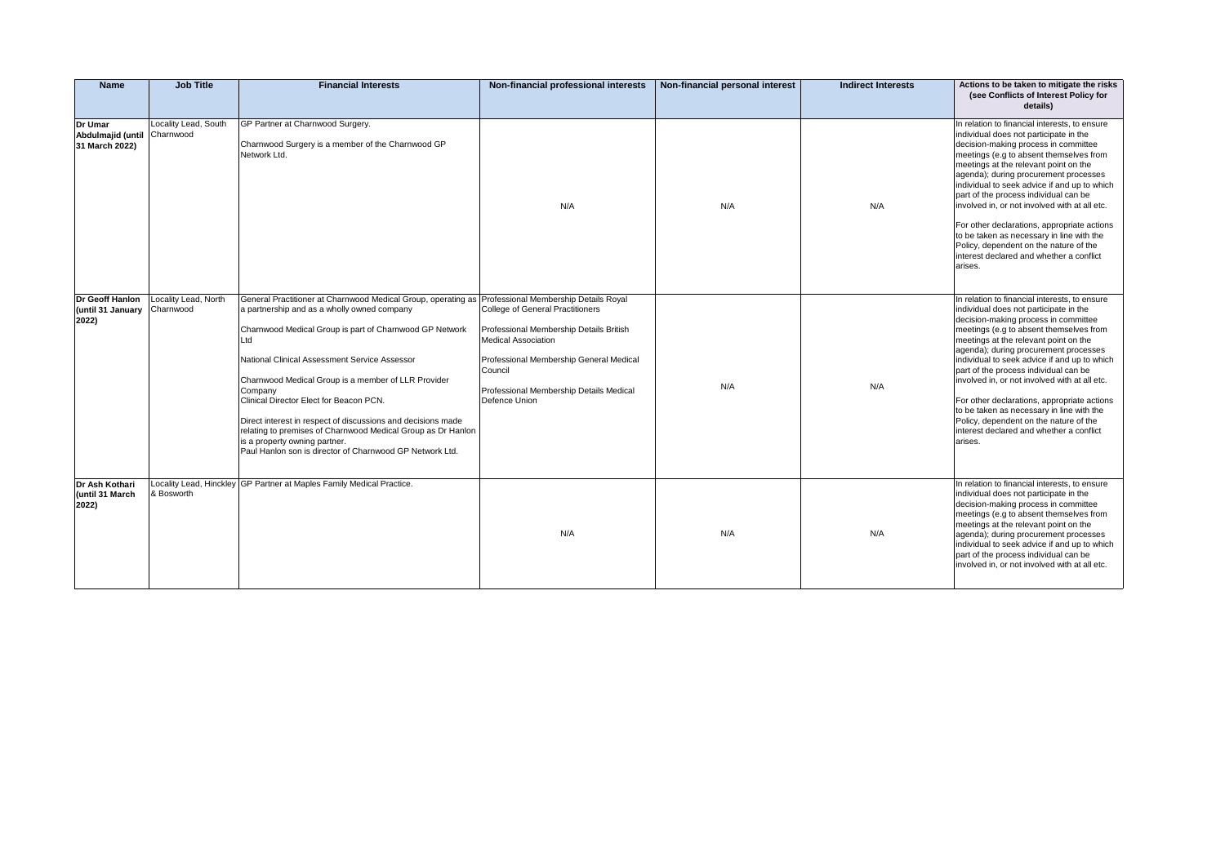| Name                                           | <b>Job Title</b>                  | <b>Financial Interests</b>                                                                                                                                                                                                                                                                                                                                                                                                                                                                                                                                                                                      | Non-financial professional interests                                                                                                                                                                                               | Non-financial personal interest | <b>Indirect Interests</b> | Actions to be taken to mitigate the risks<br>(see Conflicts of Interest Policy for<br>details)                                                                                                                                                                                                                                                                                                                                                                                                                                                                                                      |
|------------------------------------------------|-----------------------------------|-----------------------------------------------------------------------------------------------------------------------------------------------------------------------------------------------------------------------------------------------------------------------------------------------------------------------------------------------------------------------------------------------------------------------------------------------------------------------------------------------------------------------------------------------------------------------------------------------------------------|------------------------------------------------------------------------------------------------------------------------------------------------------------------------------------------------------------------------------------|---------------------------------|---------------------------|-----------------------------------------------------------------------------------------------------------------------------------------------------------------------------------------------------------------------------------------------------------------------------------------------------------------------------------------------------------------------------------------------------------------------------------------------------------------------------------------------------------------------------------------------------------------------------------------------------|
| Dr Umar<br>Abdulmajid (until<br>31 March 2022) | Locality Lead, South<br>Charnwood | GP Partner at Charnwood Surgery.<br>Charnwood Surgery is a member of the Charnwood GP<br>Network Ltd.                                                                                                                                                                                                                                                                                                                                                                                                                                                                                                           | N/A                                                                                                                                                                                                                                | N/A                             | N/A                       | In relation to financial interests, to ensure<br>individual does not participate in the<br>decision-making process in committee<br>meetings (e.g to absent themselves from<br>meetings at the relevant point on the<br>agenda); during procurement processes<br>individual to seek advice if and up to which<br>part of the process individual can be<br>involved in, or not involved with at all etc.<br>For other declarations, appropriate actions<br>to be taken as necessary in line with the<br>Policy, dependent on the nature of the<br>interest declared and whether a conflict<br>arises. |
| Dr Geoff Hanlon<br>(until 31 January<br>2022)  | Locality Lead, North<br>Charnwood | General Practitioner at Charnwood Medical Group, operating as Professional Membership Details Royal<br>a partnership and as a wholly owned company<br>Charnwood Medical Group is part of Charnwood GP Network<br>Ltd<br>National Clinical Assessment Service Assessor<br>Charnwood Medical Group is a member of LLR Provider<br>Company<br>Clinical Director Elect for Beacon PCN.<br>Direct interest in respect of discussions and decisions made<br>relating to premises of Charnwood Medical Group as Dr Hanlon<br>is a property owning partner.<br>Paul Hanlon son is director of Charnwood GP Network Ltd. | <b>College of General Practitioners</b><br>Professional Membership Details British<br><b>Medical Association</b><br>Professional Membership General Medical<br>Council<br>Professional Membership Details Medical<br>Defence Union | N/A                             | N/A                       | In relation to financial interests, to ensure<br>individual does not participate in the<br>decision-making process in committee<br>meetings (e.g to absent themselves from<br>meetings at the relevant point on the<br>agenda); during procurement processes<br>individual to seek advice if and up to which<br>part of the process individual can be<br>involved in, or not involved with at all etc.<br>For other declarations, appropriate actions<br>to be taken as necessary in line with the<br>Policy, dependent on the nature of the<br>interest declared and whether a conflict<br>arises. |
| Dr Ash Kothari<br>(until 31 March<br>2022)     | & Bosworth                        | Locality Lead, Hinckley GP Partner at Maples Family Medical Practice.                                                                                                                                                                                                                                                                                                                                                                                                                                                                                                                                           | N/A                                                                                                                                                                                                                                | N/A                             | N/A                       | In relation to financial interests, to ensure<br>individual does not participate in the<br>decision-making process in committee<br>meetings (e.g to absent themselves from<br>meetings at the relevant point on the<br>agenda); during procurement processes<br>individual to seek advice if and up to which<br>part of the process individual can be<br>involved in, or not involved with at all etc.                                                                                                                                                                                              |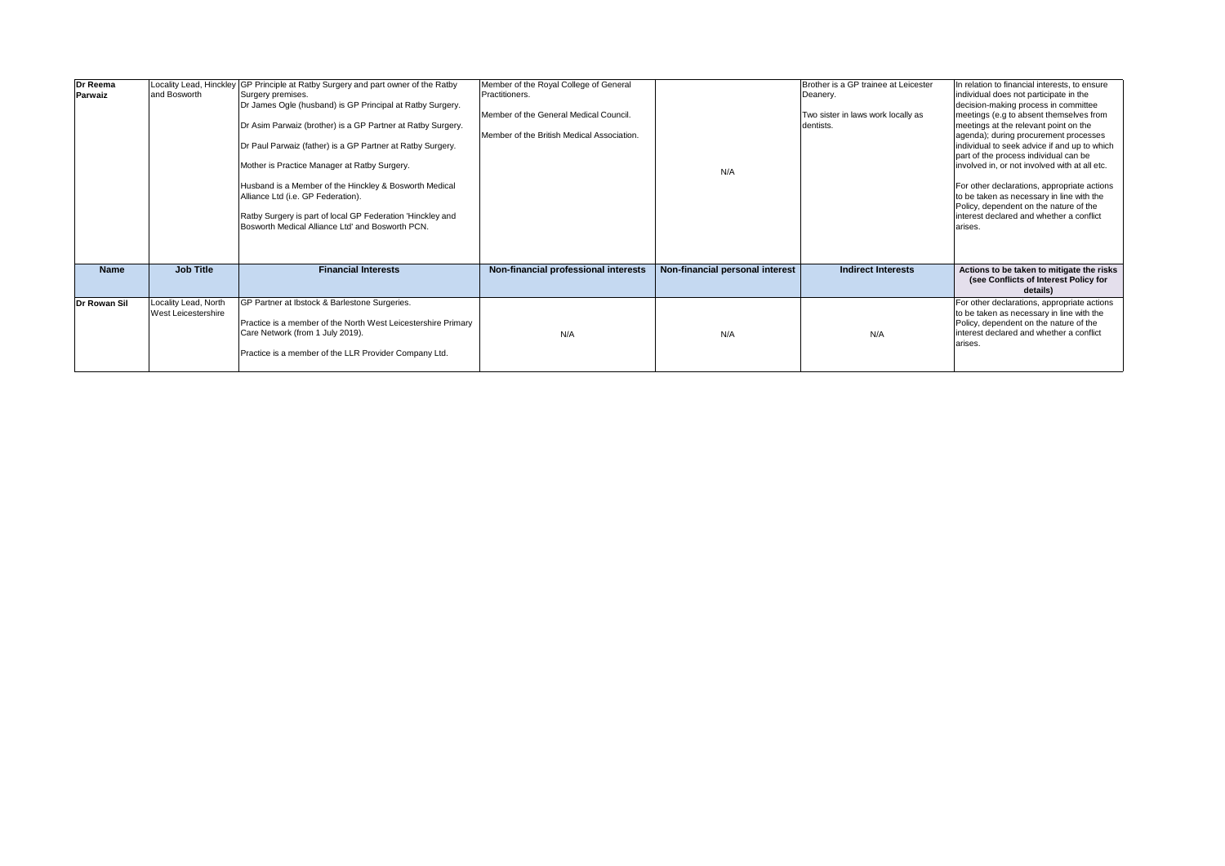| Dr Reema<br>Parwaiz | and Bosworth                                | Locality Lead, Hinckley GP Principle at Ratby Surgery and part owner of the Ratby<br>Surgery premises.<br>Dr James Ogle (husband) is GP Principal at Ratby Surgery.<br>Dr Asim Parwaiz (brother) is a GP Partner at Ratby Surgery.<br>Dr Paul Parwaiz (father) is a GP Partner at Ratby Surgery.<br>Mother is Practice Manager at Ratby Surgery.<br>Husband is a Member of the Hinckley & Bosworth Medical<br>Alliance Ltd (i.e. GP Federation).<br>Ratby Surgery is part of local GP Federation 'Hinckley and<br>Bosworth Medical Alliance Ltd' and Bosworth PCN. | Member of the Royal College of General<br>Practitioners.<br>Member of the General Medical Council.<br>Member of the British Medical Association. | N/A                             | Brother is a GP trainee at Leicester<br>Deanery.<br>Two sister in laws work locally as<br>dentists. | In relation to financial interests, to ensure<br>individual does not participate in the<br>decision-making process in committee<br>meetings (e.g to absent themselves from<br>meetings at the relevant point on the<br>agenda); during procurement processes<br>individual to seek advice if and up to which<br>part of the process individual can be<br>involved in, or not involved with at all etc.<br>For other declarations, appropriate actions<br>to be taken as necessary in line with the<br>Policy, dependent on the nature of the<br>interest declared and whether a conflict<br>arises. |
|---------------------|---------------------------------------------|--------------------------------------------------------------------------------------------------------------------------------------------------------------------------------------------------------------------------------------------------------------------------------------------------------------------------------------------------------------------------------------------------------------------------------------------------------------------------------------------------------------------------------------------------------------------|--------------------------------------------------------------------------------------------------------------------------------------------------|---------------------------------|-----------------------------------------------------------------------------------------------------|-----------------------------------------------------------------------------------------------------------------------------------------------------------------------------------------------------------------------------------------------------------------------------------------------------------------------------------------------------------------------------------------------------------------------------------------------------------------------------------------------------------------------------------------------------------------------------------------------------|
| Name                | <b>Job Title</b>                            | <b>Financial Interests</b>                                                                                                                                                                                                                                                                                                                                                                                                                                                                                                                                         | Non-financial professional interests                                                                                                             | Non-financial personal interest | <b>Indirect Interests</b>                                                                           | Actions to be taken to mitigate the risks<br>(see Conflicts of Interest Policy for<br>details)                                                                                                                                                                                                                                                                                                                                                                                                                                                                                                      |
| Dr Rowan Sil        | Locality Lead, North<br>West Leicestershire | GP Partner at Ibstock & Barlestone Surgeries.<br>Practice is a member of the North West Leicestershire Primary<br>Care Network (from 1 July 2019).<br>Practice is a member of the LLR Provider Company Ltd.                                                                                                                                                                                                                                                                                                                                                        | N/A                                                                                                                                              | N/A                             | N/A                                                                                                 | For other declarations, appropriate actions<br>to be taken as necessary in line with the<br>Policy, dependent on the nature of the<br>interest declared and whether a conflict<br>arises.                                                                                                                                                                                                                                                                                                                                                                                                           |